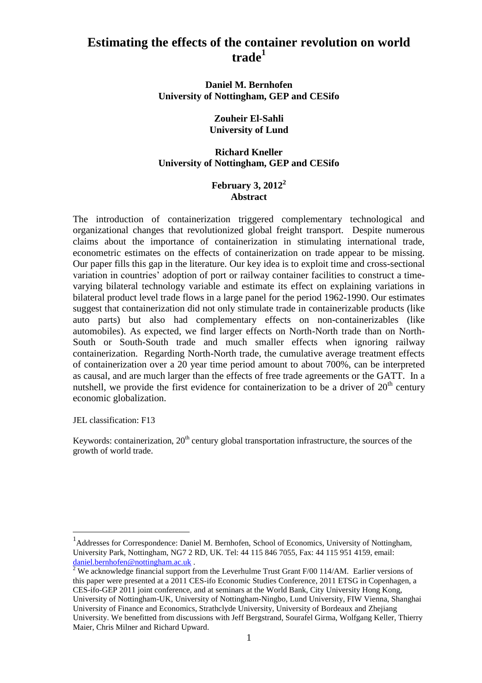# **Estimating the effects of the container revolution on world trade<sup>1</sup>**

**Daniel M. Bernhofen University of Nottingham, GEP and CESifo**

## **Zouheir El-Sahli University of Lund**

## **Richard Kneller University of Nottingham, GEP and CESifo**

## **February 3, 2012<sup>2</sup> Abstract**

The introduction of containerization triggered complementary technological and organizational changes that revolutionized global freight transport. Despite numerous claims about the importance of containerization in stimulating international trade, econometric estimates on the effects of containerization on trade appear to be missing. Our paper fills this gap in the literature. Our key idea is to exploit time and cross-sectional variation in countries" adoption of port or railway container facilities to construct a timevarying bilateral technology variable and estimate its effect on explaining variations in bilateral product level trade flows in a large panel for the period 1962-1990. Our estimates suggest that containerization did not only stimulate trade in containerizable products (like auto parts) but also had complementary effects on non-containerizables (like automobiles). As expected, we find larger effects on North-North trade than on North-South or South-South trade and much smaller effects when ignoring railway containerization. Regarding North-North trade, the cumulative average treatment effects of containerization over a 20 year time period amount to about 700%, can be interpreted as causal, and are much larger than the effects of free trade agreements or the GATT. In a nutshell, we provide the first evidence for containerization to be a driver of  $20<sup>th</sup>$  century economic globalization.

JEL classification: F13

Keywords: containerization,  $20<sup>th</sup>$  century global transportation infrastructure, the sources of the growth of world trade.

<sup>&</sup>lt;sup>1</sup>Addresses for Correspondence: Daniel M. Bernhofen, School of Economics, University of Nottingham, University Park, Nottingham, NG7 2 RD, UK. Tel: 44 115 846 7055, Fax: 44 115 951 4159, email: [daniel.bernhofen@nottingham.ac.uk](mailto:daniel.bernhofen@nottingham.ac.uk) .

<sup>&</sup>lt;sup>2</sup> We acknowledge financial support from the Leverhulme Trust Grant F/00 114/AM. Earlier versions of this paper were presented at a 2011 CES-ifo Economic Studies Conference, 2011 ETSG in Copenhagen, a CES-ifo-GEP 2011 joint conference, and at seminars at the World Bank, City University Hong Kong, University of Nottingham-UK, University of Nottingham-Ningbo, Lund University, FIW Vienna, Shanghai University of Finance and Economics, Strathclyde University, University of Bordeaux and Zhejiang University. We benefitted from discussions with Jeff Bergstrand, Sourafel Girma, Wolfgang Keller, Thierry Maier, Chris Milner and Richard Upward.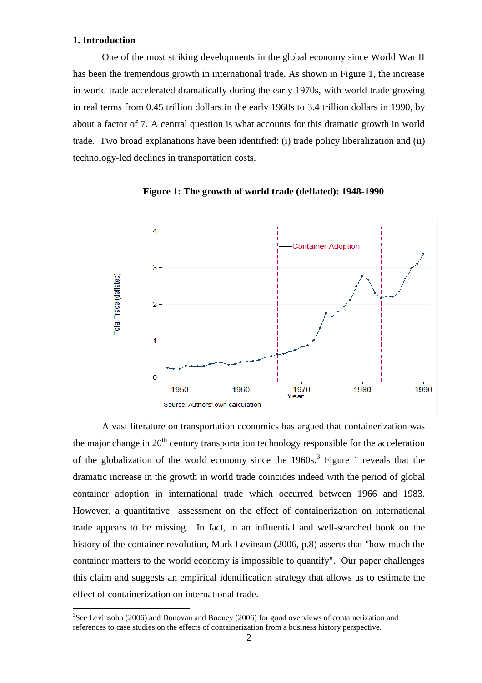### **1. Introduction**

 $\overline{a}$ 

One of the most striking developments in the global economy since World War II has been the tremendous growth in international trade. As shown in Figure 1, the increase in world trade accelerated dramatically during the early 1970s, with world trade growing in real terms from 0.45 trillion dollars in the early 1960s to 3.4 trillion dollars in 1990, by about a factor of 7. A central question is what accounts for this dramatic growth in world trade. Two broad explanations have been identified: (i) trade policy liberalization and (ii) technology-led declines in transportation costs.



**Figure 1: The growth of world trade (deflated): 1948-1990** 

A vast literature on transportation economics has argued that containerization was the major change in  $20<sup>th</sup>$  century transportation technology responsible for the acceleration of the globalization of the world economy since the  $1960s$ .<sup>3</sup> Figure 1 reveals that the dramatic increase in the growth in world trade coincides indeed with the period of global container adoption in international trade which occurred between 1966 and 1983. However, a quantitative assessment on the effect of containerization on international trade appears to be missing. In fact, in an influential and well-searched book on the history of the container revolution, Mark Levinson (2006, p.8) asserts that "how much the container matters to the world economy is impossible to quantify". Our paper challenges this claim and suggests an empirical identification strategy that allows us to estimate the effect of containerization on international trade.

 $3$ See Levinsohn (2006) and Donovan and Booney (2006) for good overviews of containerization and references to case studies on the effects of containerization from a business history perspective.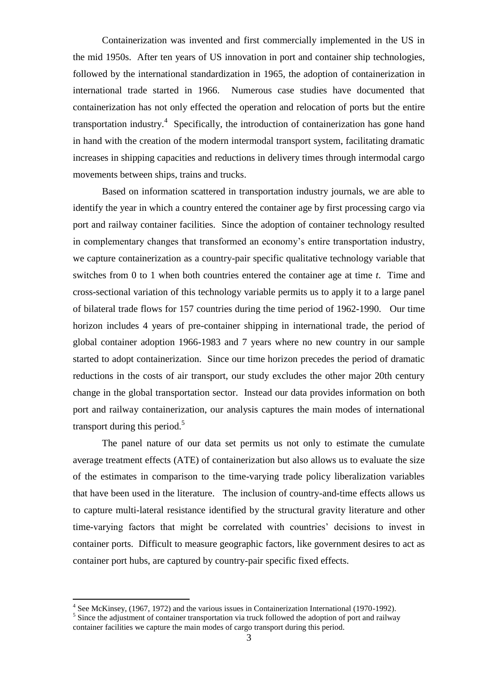Containerization was invented and first commercially implemented in the US in the mid 1950s. After ten years of US innovation in port and container ship technologies, followed by the international standardization in 1965, the adoption of containerization in international trade started in 1966. Numerous case studies have documented that containerization has not only effected the operation and relocation of ports but the entire transportation industry.<sup>4</sup> Specifically, the introduction of containerization has gone hand in hand with the creation of the modern intermodal transport system, facilitating dramatic increases in shipping capacities and reductions in delivery times through intermodal cargo movements between ships, trains and trucks.

Based on information scattered in transportation industry journals, we are able to identify the year in which a country entered the container age by first processing cargo via port and railway container facilities. Since the adoption of container technology resulted in complementary changes that transformed an economy"s entire transportation industry, we capture containerization as a country-pair specific qualitative technology variable that switches from 0 to 1 when both countries entered the container age at time *t*. Time and cross-sectional variation of this technology variable permits us to apply it to a large panel of bilateral trade flows for 157 countries during the time period of 1962-1990. Our time horizon includes 4 years of pre-container shipping in international trade, the period of global container adoption 1966-1983 and 7 years where no new country in our sample started to adopt containerization. Since our time horizon precedes the period of dramatic reductions in the costs of air transport, our study excludes the other major 20th century change in the global transportation sector. Instead our data provides information on both port and railway containerization, our analysis captures the main modes of international transport during this period. $5$ 

The panel nature of our data set permits us not only to estimate the cumulate average treatment effects (ATE) of containerization but also allows us to evaluate the size of the estimates in comparison to the time-varying trade policy liberalization variables that have been used in the literature. The inclusion of country-and-time effects allows us to capture multi-lateral resistance identified by the structural gravity literature and other time-varying factors that might be correlated with countries' decisions to invest in container ports. Difficult to measure geographic factors, like government desires to act as container port hubs, are captured by country-pair specific fixed effects.

<sup>&</sup>lt;sup>4</sup> See McKinsey, (1967, 1972) and the various issues in Containerization International (1970-1992).

<sup>&</sup>lt;sup>5</sup> Since the adjustment of container transportation via truck followed the adoption of port and railway container facilities we capture the main modes of cargo transport during this period.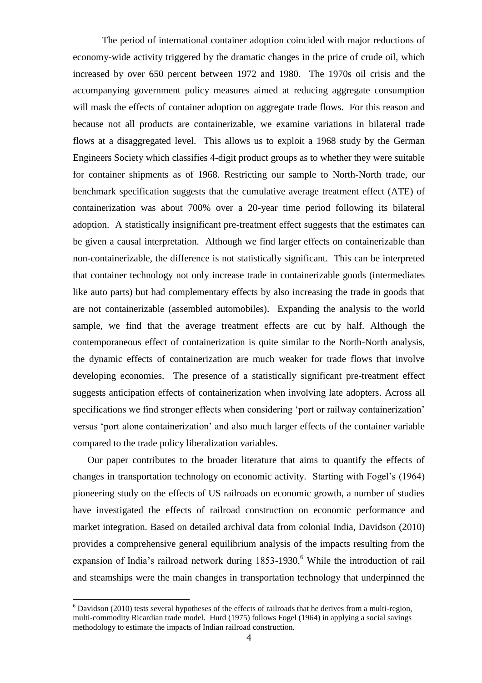The period of international container adoption coincided with major reductions of economy-wide activity triggered by the dramatic changes in the price of crude oil, which increased by over 650 percent between 1972 and 1980. The 1970s oil crisis and the accompanying government policy measures aimed at reducing aggregate consumption will mask the effects of container adoption on aggregate trade flows. For this reason and because not all products are containerizable, we examine variations in bilateral trade flows at a disaggregated level. This allows us to exploit a 1968 study by the German Engineers Society which classifies 4-digit product groups as to whether they were suitable for container shipments as of 1968. Restricting our sample to North-North trade, our benchmark specification suggests that the cumulative average treatment effect (ATE) of containerization was about 700% over a 20-year time period following its bilateral adoption. A statistically insignificant pre-treatment effect suggests that the estimates can be given a causal interpretation. Although we find larger effects on containerizable than non-containerizable, the difference is not statistically significant. This can be interpreted that container technology not only increase trade in containerizable goods (intermediates like auto parts) but had complementary effects by also increasing the trade in goods that are not containerizable (assembled automobiles). Expanding the analysis to the world sample, we find that the average treatment effects are cut by half. Although the contemporaneous effect of containerization is quite similar to the North-North analysis, the dynamic effects of containerization are much weaker for trade flows that involve developing economies. The presence of a statistically significant pre-treatment effect suggests anticipation effects of containerization when involving late adopters. Across all specifications we find stronger effects when considering 'port or railway containerization' versus "port alone containerization" and also much larger effects of the container variable compared to the trade policy liberalization variables.

Our paper contributes to the broader literature that aims to quantify the effects of changes in transportation technology on economic activity. Starting with Fogel"s (1964) pioneering study on the effects of US railroads on economic growth, a number of studies have investigated the effects of railroad construction on economic performance and market integration. Based on detailed archival data from colonial India, Davidson (2010) provides a comprehensive general equilibrium analysis of the impacts resulting from the expansion of India's railroad network during 1853-1930.<sup>6</sup> While the introduction of rail and steamships were the main changes in transportation technology that underpinned the

 $6$  Davidson (2010) tests several hypotheses of the effects of railroads that he derives from a multi-region, multi-commodity Ricardian trade model. Hurd (1975) follows Fogel (1964) in applying a social savings methodology to estimate the impacts of Indian railroad construction.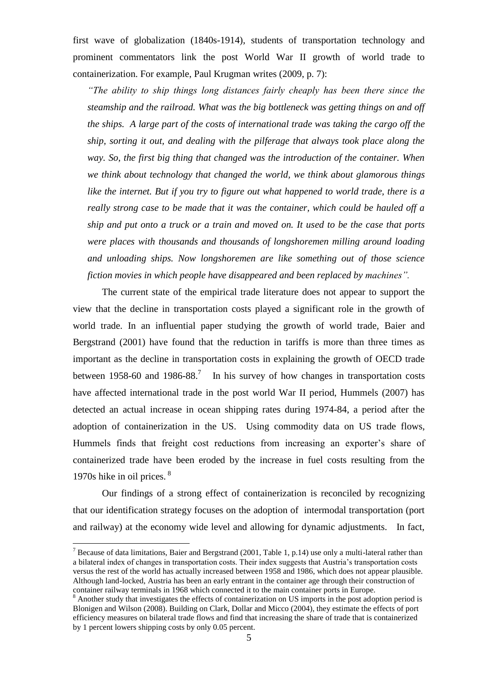first wave of globalization (1840s-1914), students of transportation technology and prominent commentators link the post World War II growth of world trade to containerization. For example, Paul Krugman writes (2009, p. 7):

*"The ability to ship things long distances fairly cheaply has been there since the steamship and the railroad. What was the big bottleneck was getting things on and off the ships. A large part of the costs of international trade was taking the cargo off the ship, sorting it out, and dealing with the pilferage that always took place along the way. So, the first big thing that changed was the introduction of the container. When we think about technology that changed the world, we think about glamorous things like the internet. But if you try to figure out what happened to world trade, there is a really strong case to be made that it was the container, which could be hauled off a ship and put onto a truck or a train and moved on. It used to be the case that ports were places with thousands and thousands of longshoremen milling around loading and unloading ships. Now longshoremen are like something out of those science fiction movies in which people have disappeared and been replaced by machines".*

The current state of the empirical trade literature does not appear to support the view that the decline in transportation costs played a significant role in the growth of world trade. In an influential paper studying the growth of world trade, Baier and Bergstrand (2001) have found that the reduction in tariffs is more than three times as important as the decline in transportation costs in explaining the growth of OECD trade between 1958-60 and 1986-88.<sup>7</sup> In his survey of how changes in transportation costs have affected international trade in the post world War II period, Hummels (2007) has detected an actual increase in ocean shipping rates during 1974-84, a period after the adoption of containerization in the US. Using commodity data on US trade flows, Hummels finds that freight cost reductions from increasing an exporter's share of containerized trade have been eroded by the increase in fuel costs resulting from the 1970s hike in oil prices. <sup>8</sup>

Our findings of a strong effect of containerization is reconciled by recognizing that our identification strategy focuses on the adoption of intermodal transportation (port and railway) at the economy wide level and allowing for dynamic adjustments. In fact,

 $7$  Because of data limitations, Baier and Bergstrand (2001, Table 1, p.14) use only a multi-lateral rather than a bilateral index of changes in transportation costs. Their index suggests that Austria"s transportation costs versus the rest of the world has actually increased between 1958 and 1986, which does not appear plausible. Although land-locked, Austria has been an early entrant in the container age through their construction of container railway terminals in 1968 which connected it to the main container ports in Europe.

<sup>&</sup>lt;sup>8</sup> Another study that investigates the effects of containerization on US imports in the post adoption period is Blonigen and Wilson (2008). Building on Clark, Dollar and Micco (2004), they estimate the effects of port efficiency measures on bilateral trade flows and find that increasing the share of trade that is containerized by 1 percent lowers shipping costs by only 0.05 percent.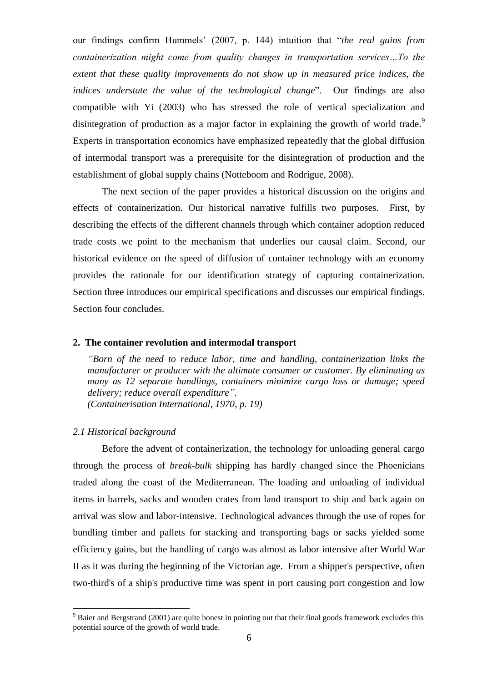our findings confirm Hummels" (2007, p. 144) intuition that "*the real gains from containerization might come from quality changes in transportation services…To the extent that these quality improvements do not show up in measured price indices, the indices understate the value of the technological change*". Our findings are also compatible with Yi (2003) who has stressed the role of vertical specialization and disintegration of production as a major factor in explaining the growth of world trade.<sup>9</sup> Experts in transportation economics have emphasized repeatedly that the global diffusion of intermodal transport was a prerequisite for the disintegration of production and the establishment of global supply chains (Notteboom and Rodrigue, 2008).

The next section of the paper provides a historical discussion on the origins and effects of containerization. Our historical narrative fulfills two purposes. First, by describing the effects of the different channels through which container adoption reduced trade costs we point to the mechanism that underlies our causal claim. Second, our historical evidence on the speed of diffusion of container technology with an economy provides the rationale for our identification strategy of capturing containerization. Section three introduces our empirical specifications and discusses our empirical findings. Section four concludes.

#### **2. The container revolution and intermodal transport**

*"Born of the need to reduce labor, time and handling, containerization links the manufacturer or producer with the ultimate consumer or customer. By eliminating as many as 12 separate handlings, containers minimize cargo loss or damage; speed delivery; reduce overall expenditure". (Containerisation International, 1970, p. 19)*

#### *2.1 Historical background*

 $\overline{a}$ 

Before the advent of containerization, the technology for unloading general cargo through the process of *break-bulk* shipping has hardly changed since the Phoenicians traded along the coast of the Mediterranean. The loading and unloading of individual items in barrels, sacks and wooden crates from land transport to ship and back again on arrival was slow and labor-intensive. Technological advances through the use of ropes for bundling timber and pallets for stacking and transporting bags or sacks yielded some efficiency gains, but the handling of cargo was almost as labor intensive after World War II as it was during the beginning of the Victorian age. From a shipper's perspective, often two-third's of a ship's productive time was spent in port causing port congestion and low

<sup>&</sup>lt;sup>9</sup> Baier and Bergstrand (2001) are quite honest in pointing out that their final goods framework excludes this potential source of the growth of world trade.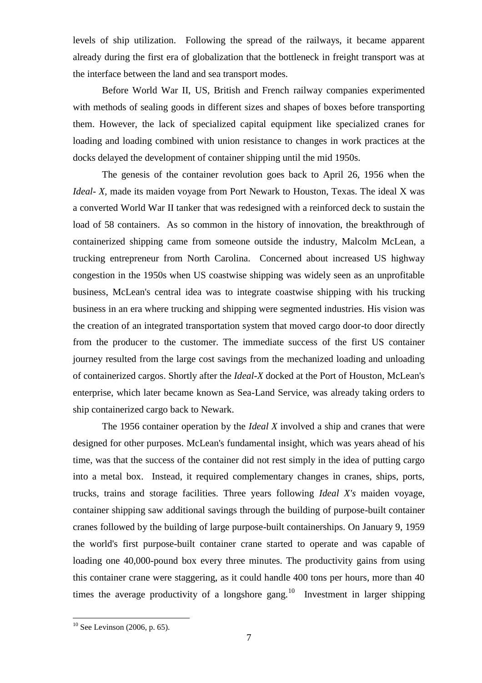levels of ship utilization. Following the spread of the railways, it became apparent already during the first era of globalization that the bottleneck in freight transport was at the interface between the land and sea transport modes.

Before World War II, US, British and French railway companies experimented with methods of sealing goods in different sizes and shapes of boxes before transporting them. However, the lack of specialized capital equipment like specialized cranes for loading and loading combined with union resistance to changes in work practices at the docks delayed the development of container shipping until the mid 1950s.

The genesis of the container revolution goes back to April 26, 1956 when the *Ideal-X*, made its maiden voyage from Port Newark to Houston, Texas. The ideal X was a converted World War II tanker that was redesigned with a reinforced deck to sustain the load of 58 containers. As so common in the history of innovation, the breakthrough of containerized shipping came from someone outside the industry, Malcolm McLean, a trucking entrepreneur from North Carolina. Concerned about increased US highway congestion in the 1950s when US coastwise shipping was widely seen as an unprofitable business, McLean's central idea was to integrate coastwise shipping with his trucking business in an era where trucking and shipping were segmented industries. His vision was the creation of an integrated transportation system that moved cargo door-to door directly from the producer to the customer. The immediate success of the first US container journey resulted from the large cost savings from the mechanized loading and unloading of containerized cargos. Shortly after the *Ideal-X* docked at the Port of Houston, McLean's enterprise, which later became known as Sea-Land Service, was already taking orders to ship containerized cargo back to Newark.

The 1956 container operation by the *Ideal X* involved a ship and cranes that were designed for other purposes. McLean's fundamental insight, which was years ahead of his time, was that the success of the container did not rest simply in the idea of putting cargo into a metal box. Instead, it required complementary changes in cranes, ships, ports, trucks, trains and storage facilities. Three years following *Ideal X's* maiden voyage, container shipping saw additional savings through the building of purpose-built container cranes followed by the building of large purpose-built containerships. On January 9, 1959 the world's first purpose-built container crane started to operate and was capable of loading one 40,000-pound box every three minutes. The productivity gains from using this container crane were staggering, as it could handle 400 tons per hours, more than 40 times the average productivity of a longshore gang.<sup>10</sup> Investment in larger shipping

 $10$  See Levinson (2006, p. 65).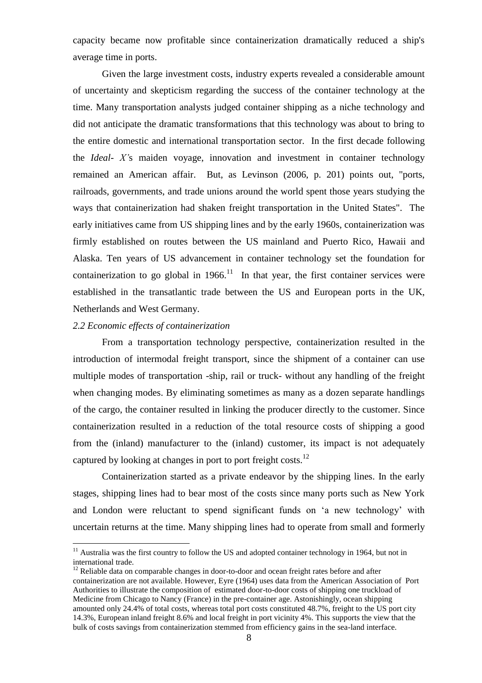capacity became now profitable since containerization dramatically reduced a ship's average time in ports.

Given the large investment costs, industry experts revealed a considerable amount of uncertainty and skepticism regarding the success of the container technology at the time. Many transportation analysts judged container shipping as a niche technology and did not anticipate the dramatic transformations that this technology was about to bring to the entire domestic and international transportation sector. In the first decade following the *Ideal- X'*s maiden voyage, innovation and investment in container technology remained an American affair. But, as Levinson (2006, p. 201) points out, "ports, railroads, governments, and trade unions around the world spent those years studying the ways that containerization had shaken freight transportation in the United States". The early initiatives came from US shipping lines and by the early 1960s, containerization was firmly established on routes between the US mainland and Puerto Rico, Hawaii and Alaska. Ten years of US advancement in container technology set the foundation for containerization to go global in  $1966$ <sup>11</sup> In that year, the first container services were established in the transatlantic trade between the US and European ports in the UK, Netherlands and West Germany.

#### *2.2 Economic effects of containerization*

 $\overline{a}$ 

From a transportation technology perspective, containerization resulted in the introduction of intermodal freight transport, since the shipment of a container can use multiple modes of transportation -ship, rail or truck- without any handling of the freight when changing modes. By eliminating sometimes as many as a dozen separate handlings of the cargo, the container resulted in linking the producer directly to the customer. Since containerization resulted in a reduction of the total resource costs of shipping a good from the (inland) manufacturer to the (inland) customer, its impact is not adequately captured by looking at changes in port to port freight costs.<sup>12</sup>

Containerization started as a private endeavor by the shipping lines. In the early stages, shipping lines had to bear most of the costs since many ports such as New York and London were reluctant to spend significant funds on "a new technology" with uncertain returns at the time. Many shipping lines had to operate from small and formerly

<sup>&</sup>lt;sup>11</sup> Australia was the first country to follow the US and adopted container technology in 1964, but not in international trade.

 $12$  Reliable data on comparable changes in door-to-door and ocean freight rates before and after containerization are not available. However, Eyre (1964) uses data from the American Association of Port Authorities to illustrate the composition of estimated door-to-door costs of shipping one truckload of Medicine from Chicago to Nancy (France) in the pre-container age. Astonishingly, ocean shipping amounted only 24.4% of total costs, whereas total port costs constituted 48.7%, freight to the US port city 14.3%, European inland freight 8.6% and local freight in port vicinity 4%. This supports the view that the bulk of costs savings from containerization stemmed from efficiency gains in the sea-land interface.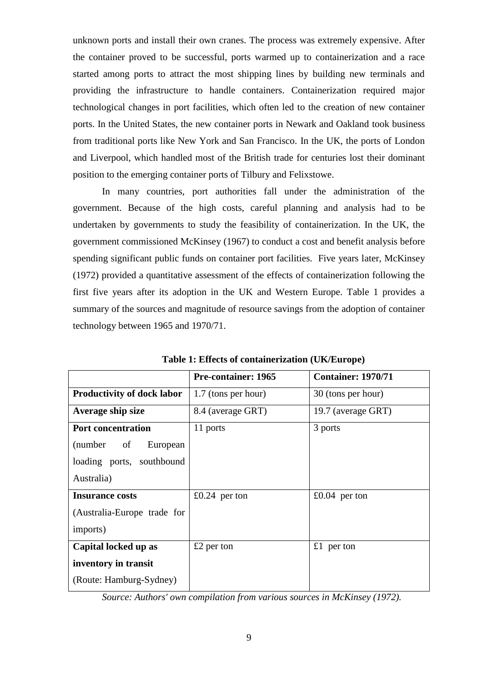unknown ports and install their own cranes. The process was extremely expensive. After the container proved to be successful, ports warmed up to containerization and a race started among ports to attract the most shipping lines by building new terminals and providing the infrastructure to handle containers. Containerization required major technological changes in port facilities, which often led to the creation of new container ports. In the United States, the new container ports in Newark and Oakland took business from traditional ports like New York and San Francisco. In the UK, the ports of London and Liverpool, which handled most of the British trade for centuries lost their dominant position to the emerging container ports of Tilbury and Felixstowe.

In many countries, port authorities fall under the administration of the government. Because of the high costs, careful planning and analysis had to be undertaken by governments to study the feasibility of containerization. In the UK, the government commissioned McKinsey (1967) to conduct a cost and benefit analysis before spending significant public funds on container port facilities. Five years later, McKinsey (1972) provided a quantitative assessment of the effects of containerization following the first five years after its adoption in the UK and Western Europe. Table 1 provides a summary of the sources and magnitude of resource savings from the adoption of container technology between 1965 and 1970/71.

|                                   | <b>Pre-container: 1965</b> | <b>Container: 1970/71</b> |
|-----------------------------------|----------------------------|---------------------------|
| <b>Productivity of dock labor</b> | 1.7 (tons per hour)        | 30 (tons per hour)        |
| Average ship size                 | 8.4 (average GRT)          | 19.7 (average GRT)        |
| <b>Port concentration</b>         | 11 ports                   | 3 ports                   |
| (number<br>European<br>of         |                            |                           |
| loading ports, southbound         |                            |                           |
| Australia)                        |                            |                           |
| <b>Insurance costs</b>            | £0.24 per ton              | $£0.04$ per ton           |
| (Australia-Europe trade for       |                            |                           |
| imports)                          |                            |                           |
| Capital locked up as              | $£2$ per ton               | £1 per ton                |
| inventory in transit              |                            |                           |
| (Route: Hamburg-Sydney)           |                            |                           |

**Table 1: Effects of containerization (UK/Europe)**

*Source: Authors' own compilation from various sources in McKinsey (1972).*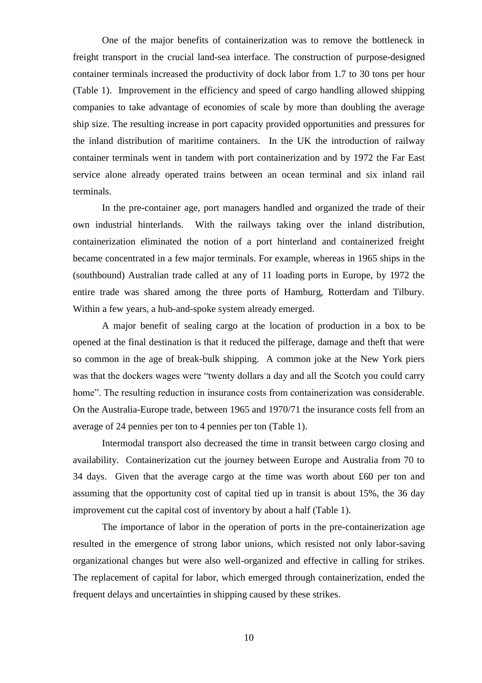One of the major benefits of containerization was to remove the bottleneck in freight transport in the crucial land-sea interface. The construction of purpose-designed container terminals increased the productivity of dock labor from 1.7 to 30 tons per hour (Table 1). Improvement in the efficiency and speed of cargo handling allowed shipping companies to take advantage of economies of scale by more than doubling the average ship size. The resulting increase in port capacity provided opportunities and pressures for the inland distribution of maritime containers. In the UK the introduction of railway container terminals went in tandem with port containerization and by 1972 the Far East service alone already operated trains between an ocean terminal and six inland rail terminals.

In the pre-container age, port managers handled and organized the trade of their own industrial hinterlands. With the railways taking over the inland distribution, containerization eliminated the notion of a port hinterland and containerized freight became concentrated in a few major terminals. For example, whereas in 1965 ships in the (southbound) Australian trade called at any of 11 loading ports in Europe, by 1972 the entire trade was shared among the three ports of Hamburg, Rotterdam and Tilbury. Within a few years, a hub-and-spoke system already emerged.

A major benefit of sealing cargo at the location of production in a box to be opened at the final destination is that it reduced the pilferage, damage and theft that were so common in the age of break-bulk shipping. A common joke at the New York piers was that the dockers wages were "twenty dollars a day and all the Scotch you could carry home". The resulting reduction in insurance costs from containerization was considerable. On the Australia-Europe trade, between 1965 and 1970/71 the insurance costs fell from an average of 24 pennies per ton to 4 pennies per ton (Table 1).

Intermodal transport also decreased the time in transit between cargo closing and availability. Containerization cut the journey between Europe and Australia from 70 to 34 days. Given that the average cargo at the time was worth about £60 per ton and assuming that the opportunity cost of capital tied up in transit is about 15%, the 36 day improvement cut the capital cost of inventory by about a half (Table 1).

The importance of labor in the operation of ports in the pre-containerization age resulted in the emergence of strong labor unions, which resisted not only labor-saving organizational changes but were also well-organized and effective in calling for strikes. The replacement of capital for labor, which emerged through containerization, ended the frequent delays and uncertainties in shipping caused by these strikes.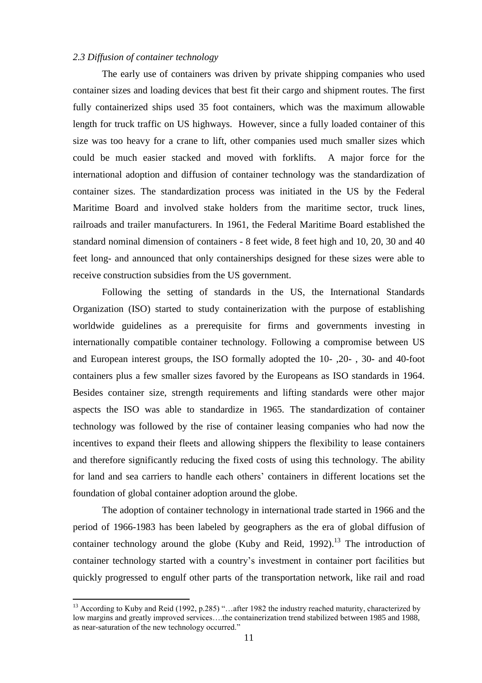#### *2.3 Diffusion of container technology*

The early use of containers was driven by private shipping companies who used container sizes and loading devices that best fit their cargo and shipment routes. The first fully containerized ships used 35 foot containers, which was the maximum allowable length for truck traffic on US highways. However, since a fully loaded container of this size was too heavy for a crane to lift, other companies used much smaller sizes which could be much easier stacked and moved with forklifts. A major force for the international adoption and diffusion of container technology was the standardization of container sizes. The standardization process was initiated in the US by the Federal Maritime Board and involved stake holders from the maritime sector, truck lines, railroads and trailer manufacturers. In 1961, the Federal Maritime Board established the standard nominal dimension of containers - 8 feet wide, 8 feet high and 10, 20, 30 and 40 feet long- and announced that only containerships designed for these sizes were able to receive construction subsidies from the US government.

Following the setting of standards in the US, the International Standards Organization (ISO) started to study containerization with the purpose of establishing worldwide guidelines as a prerequisite for firms and governments investing in internationally compatible container technology. Following a compromise between US and European interest groups, the ISO formally adopted the 10- ,20- , 30- and 40-foot containers plus a few smaller sizes favored by the Europeans as ISO standards in 1964. Besides container size, strength requirements and lifting standards were other major aspects the ISO was able to standardize in 1965. The standardization of container technology was followed by the rise of container leasing companies who had now the incentives to expand their fleets and allowing shippers the flexibility to lease containers and therefore significantly reducing the fixed costs of using this technology. The ability for land and sea carriers to handle each others" containers in different locations set the foundation of global container adoption around the globe.

The adoption of container technology in international trade started in 1966 and the period of 1966-1983 has been labeled by geographers as the era of global diffusion of container technology around the globe (Kuby and Reid, 1992).<sup>13</sup> The introduction of container technology started with a country"s investment in container port facilities but quickly progressed to engulf other parts of the transportation network, like rail and road

<sup>&</sup>lt;sup>13</sup> According to Kuby and Reid (1992, p.285) "...after 1982 the industry reached maturity, characterized by low margins and greatly improved services….the containerization trend stabilized between 1985 and 1988, as near-saturation of the new technology occurred."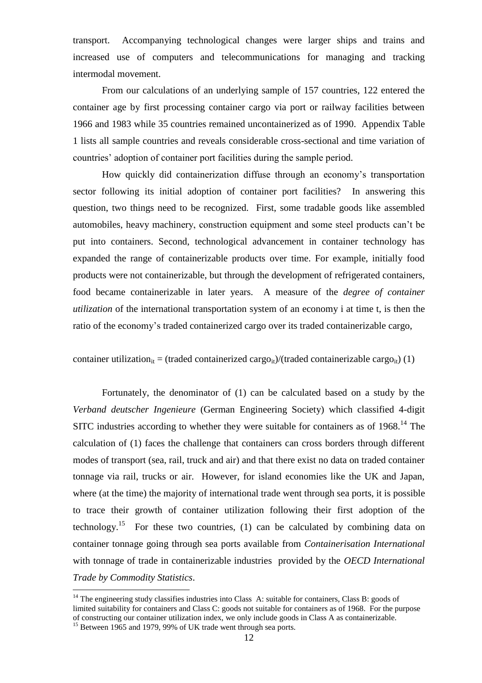transport. Accompanying technological changes were larger ships and trains and increased use of computers and telecommunications for managing and tracking intermodal movement.

From our calculations of an underlying sample of 157 countries, 122 entered the container age by first processing container cargo via port or railway facilities between 1966 and 1983 while 35 countries remained uncontainerized as of 1990. Appendix Table 1 lists all sample countries and reveals considerable cross-sectional and time variation of countries" adoption of container port facilities during the sample period.

How quickly did containerization diffuse through an economy"s transportation sector following its initial adoption of container port facilities? In answering this question, two things need to be recognized. First, some tradable goods like assembled automobiles, heavy machinery, construction equipment and some steel products can"t be put into containers. Second, technological advancement in container technology has expanded the range of containerizable products over time. For example, initially food products were not containerizable, but through the development of refrigerated containers, food became containerizable in later years. A measure of the *degree of container utilization* of the international transportation system of an economy i at time t, is then the ratio of the economy"s traded containerized cargo over its traded containerizable cargo,

container utilization<sub>it</sub> = (traded containerized cargo<sub>it</sub>)/(traded containerizable cargo<sub>it</sub>) (1)

Fortunately, the denominator of (1) can be calculated based on a study by the *Verband deutscher Ingenieure* (German Engineering Society) which classified 4-digit SITC industries according to whether they were suitable for containers as of  $1968$ .<sup>14</sup> The calculation of (1) faces the challenge that containers can cross borders through different modes of transport (sea, rail, truck and air) and that there exist no data on traded container tonnage via rail, trucks or air. However, for island economies like the UK and Japan, where (at the time) the majority of international trade went through sea ports, it is possible to trace their growth of container utilization following their first adoption of the technology.<sup>15</sup> For these two countries,  $(1)$  can be calculated by combining data on container tonnage going through sea ports available from *Containerisation International* with tonnage of trade in containerizable industries provided by the *OECD International Trade by Commodity Statistics*.

 $14$  The engineering study classifies industries into Class A: suitable for containers, Class B: goods of limited suitability for containers and Class C: goods not suitable for containers as of 1968. For the purpose of constructing our container utilization index, we only include goods in Class A as containerizable.

<sup>&</sup>lt;sup>15</sup> Between 1965 and 1979, 99% of UK trade went through sea ports.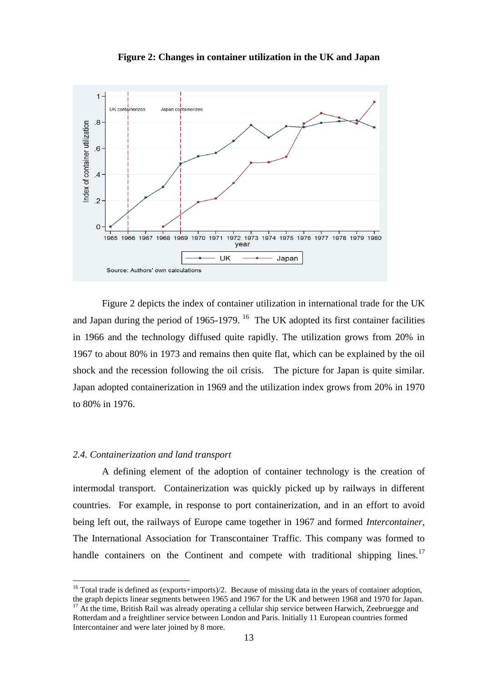

**Figure 2: Changes in container utilization in the UK and Japan**

Figure 2 depicts the index of container utilization in international trade for the UK and Japan during the period of 1965-1979. <sup>16</sup> The UK adopted its first container facilities in 1966 and the technology diffused quite rapidly. The utilization grows from 20% in 1967 to about 80% in 1973 and remains then quite flat, which can be explained by the oil shock and the recession following the oil crisis. The picture for Japan is quite similar. Japan adopted containerization in 1969 and the utilization index grows from 20% in 1970 to 80% in 1976.

#### *2.4. Containerization and land transport*

 $\overline{a}$ 

A defining element of the adoption of container technology is the creation of intermodal transport. Containerization was quickly picked up by railways in different countries. For example, in response to port containerization, and in an effort to avoid being left out, the railways of Europe came together in 1967 and formed *Intercontainer*, The International Association for Transcontainer Traffic. This company was formed to handle containers on the Continent and compete with traditional shipping lines.<sup>17</sup>

<sup>&</sup>lt;sup>16</sup> Total trade is defined as (exports+imports)/2. Because of missing data in the years of container adoption, the graph depicts linear segments between 1965 and 1967 for the UK and between 1968 and 1970 for Japan. <sup>17</sup> At the time, British Rail was already operating a cellular ship service between Harwich, Zeebruegge and Rotterdam and a freightliner service between London and Paris. Initially 11 European countries formed Intercontainer and were later joined by 8 more.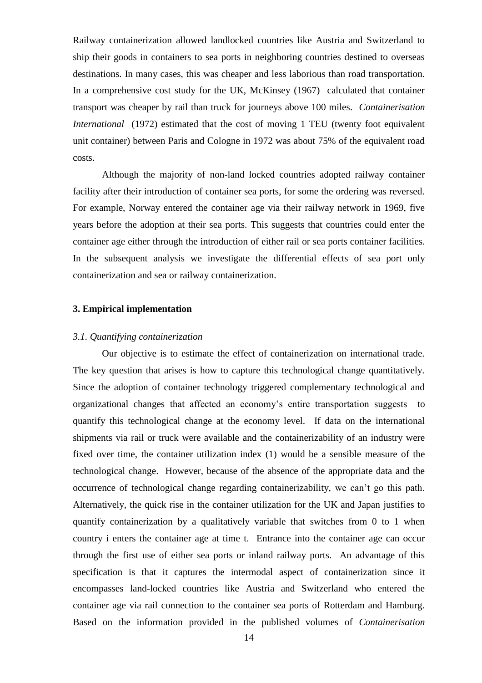Railway containerization allowed landlocked countries like Austria and Switzerland to ship their goods in containers to sea ports in neighboring countries destined to overseas destinations. In many cases, this was cheaper and less laborious than road transportation. In a comprehensive cost study for the UK, McKinsey (1967) calculated that container transport was cheaper by rail than truck for journeys above 100 miles. *Containerisation International* (1972) estimated that the cost of moving 1 TEU (twenty foot equivalent unit container) between Paris and Cologne in 1972 was about 75% of the equivalent road costs.

Although the majority of non-land locked countries adopted railway container facility after their introduction of container sea ports, for some the ordering was reversed. For example, Norway entered the container age via their railway network in 1969, five years before the adoption at their sea ports. This suggests that countries could enter the container age either through the introduction of either rail or sea ports container facilities. In the subsequent analysis we investigate the differential effects of sea port only containerization and sea or railway containerization.

#### **3. Empirical implementation**

#### *3.1. Quantifying containerization*

Our objective is to estimate the effect of containerization on international trade. The key question that arises is how to capture this technological change quantitatively. Since the adoption of container technology triggered complementary technological and organizational changes that affected an economy"s entire transportation suggests to quantify this technological change at the economy level. If data on the international shipments via rail or truck were available and the containerizability of an industry were fixed over time, the container utilization index (1) would be a sensible measure of the technological change. However, because of the absence of the appropriate data and the occurrence of technological change regarding containerizability, we can"t go this path. Alternatively, the quick rise in the container utilization for the UK and Japan justifies to quantify containerization by a qualitatively variable that switches from 0 to 1 when country i enters the container age at time t. Entrance into the container age can occur through the first use of either sea ports or inland railway ports. An advantage of this specification is that it captures the intermodal aspect of containerization since it encompasses land-locked countries like Austria and Switzerland who entered the container age via rail connection to the container sea ports of Rotterdam and Hamburg. Based on the information provided in the published volumes of *Containerisation*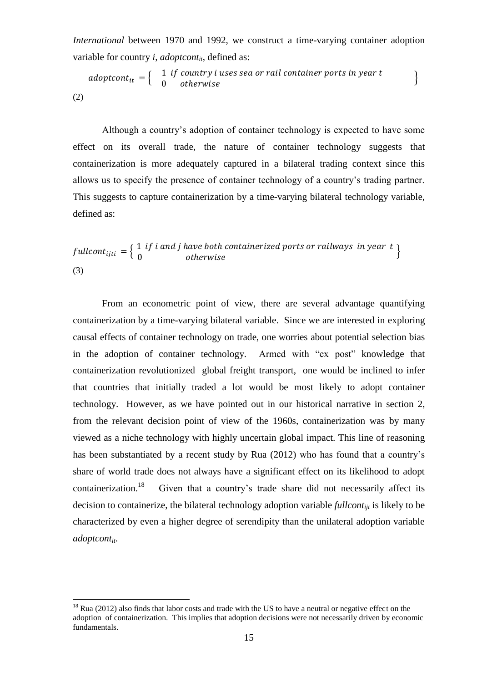*International* between 1970 and 1992, we construct a time-varying container adoption variable for country *i*, *adoptcont<sub>it</sub>*, defined as:

 $\textit{adoptcont}_{\textit{it}} = \left\{ \begin{array}{cl} 1 \ \textit{if country i uses sea or rail container ports in year t} \ 0 \quad \textit{otherwise} \end{array} \right\}$ (2)

Although a country"s adoption of container technology is expected to have some effect on its overall trade, the nature of container technology suggests that containerization is more adequately captured in a bilateral trading context since this allows us to specify the presence of container technology of a country"s trading partner. This suggests to capture containerization by a time-varying bilateral technology variable, defined as:

$$
fullcont_{ijti} = \left\{ \begin{array}{ll} 1 \text{ if } i \text{ and } j \text{ have both contained ports or railways in year } t \\ 0 \text{ otherwise} \end{array} \right\}
$$
\n(3)

From an econometric point of view, there are several advantage quantifying containerization by a time-varying bilateral variable. Since we are interested in exploring causal effects of container technology on trade, one worries about potential selection bias in the adoption of container technology. Armed with "ex post" knowledge that containerization revolutionized global freight transport, one would be inclined to infer that countries that initially traded a lot would be most likely to adopt container technology. However, as we have pointed out in our historical narrative in section 2, from the relevant decision point of view of the 1960s, containerization was by many viewed as a niche technology with highly uncertain global impact. This line of reasoning has been substantiated by a recent study by Rua (2012) who has found that a country"s share of world trade does not always have a significant effect on its likelihood to adopt containerization.<sup>18</sup> Given that a country"s trade share did not necessarily affect its decision to containerize, the bilateral technology adoption variable *fullcontijt* is likely to be characterized by even a higher degree of serendipity than the unilateral adoption variable *adoptcontit*.

<sup>&</sup>lt;sup>18</sup> Rua (2012) also finds that labor costs and trade with the US to have a neutral or negative effect on the adoption of containerization. This implies that adoption decisions were not necessarily driven by economic fundamentals.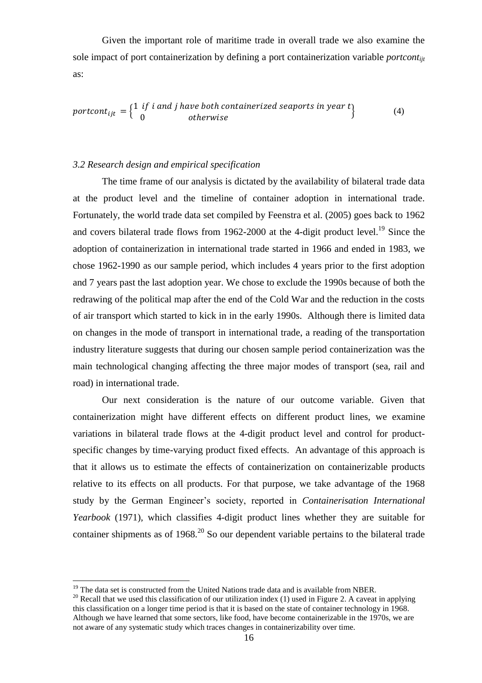Given the important role of maritime trade in overall trade we also examine the sole impact of port containerization by defining a port containerization variable *portcontijt* as:

portcont<sub>ijt</sub> =  $\begin{Bmatrix} 1 & if i & and j & have both contained sequences in year t \\ 0 & otherwise \end{Bmatrix}$  (4)

## *3.2 Research design and empirical specification*

The time frame of our analysis is dictated by the availability of bilateral trade data at the product level and the timeline of container adoption in international trade. Fortunately, the world trade data set compiled by Feenstra et al. (2005) goes back to 1962 and covers bilateral trade flows from 1962-2000 at the 4-digit product level.<sup>19</sup> Since the adoption of containerization in international trade started in 1966 and ended in 1983, we chose 1962-1990 as our sample period, which includes 4 years prior to the first adoption and 7 years past the last adoption year. We chose to exclude the 1990s because of both the redrawing of the political map after the end of the Cold War and the reduction in the costs of air transport which started to kick in in the early 1990s. Although there is limited data on changes in the mode of transport in international trade, a reading of the transportation industry literature suggests that during our chosen sample period containerization was the main technological changing affecting the three major modes of transport (sea, rail and road) in international trade.

Our next consideration is the nature of our outcome variable. Given that containerization might have different effects on different product lines, we examine variations in bilateral trade flows at the 4-digit product level and control for productspecific changes by time-varying product fixed effects. An advantage of this approach is that it allows us to estimate the effects of containerization on containerizable products relative to its effects on all products. For that purpose, we take advantage of the 1968 study by the German Engineer"s society, reported in *Containerisation International Yearbook* (1971)*,* which classifies 4-digit product lines whether they are suitable for container shipments as of  $1968<sup>20</sup>$  So our dependent variable pertains to the bilateral trade

 $19$  The data set is constructed from the United Nations trade data and is available from NBER.

<sup>&</sup>lt;sup>20</sup> Recall that we used this classification of our utilization index (1) used in Figure 2. A caveat in applying this classification on a longer time period is that it is based on the state of container technology in 1968. Although we have learned that some sectors, like food, have become containerizable in the 1970s, we are not aware of any systematic study which traces changes in containerizability over time.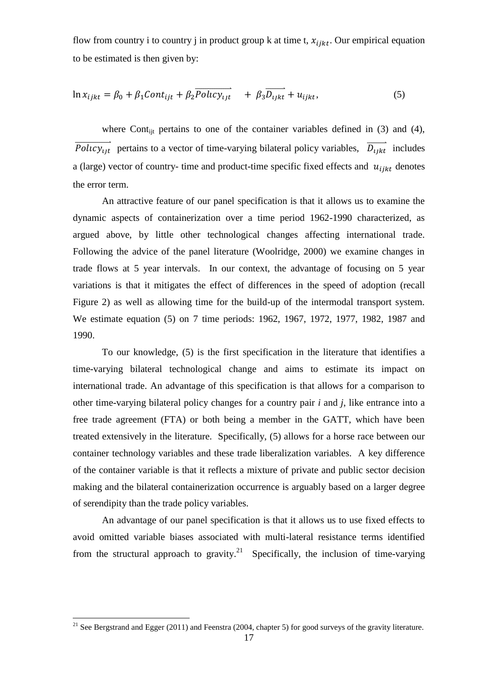flow from country i to country j in product group k at time t,  $x_{i j k t}$ . Our empirical equation to be estimated is then given by:

$$
\ln x_{ijkt} = \beta_0 + \beta_1 Cont_{ijt} + \beta_2 \overrightarrow{Policy_{ijt}} + \beta_3 \overrightarrow{D_{ijkt}} + u_{ijkt},
$$
\n(5)

where Cont<sub>ijt</sub> pertains to one of the container variables defined in (3) and (4),  $\overrightarrow{Polrcy_{ijt}}$  pertains to a vector of time-varying bilateral policy variables,  $\overrightarrow{D_{ijkt}}$  includes a (large) vector of country- time and product-time specific fixed effects and  $u_{i\, ikt}$  denotes the error term.

An attractive feature of our panel specification is that it allows us to examine the dynamic aspects of containerization over a time period 1962-1990 characterized, as argued above, by little other technological changes affecting international trade. Following the advice of the panel literature (Woolridge, 2000) we examine changes in trade flows at 5 year intervals. In our context, the advantage of focusing on 5 year variations is that it mitigates the effect of differences in the speed of adoption (recall Figure 2) as well as allowing time for the build-up of the intermodal transport system. We estimate equation (5) on 7 time periods: 1962, 1967, 1972, 1977, 1982, 1987 and 1990.

To our knowledge, (5) is the first specification in the literature that identifies a time-varying bilateral technological change and aims to estimate its impact on international trade. An advantage of this specification is that allows for a comparison to other time-varying bilateral policy changes for a country pair *i* and *j*, like entrance into a free trade agreement (FTA) or both being a member in the GATT, which have been treated extensively in the literature. Specifically, (5) allows for a horse race between our container technology variables and these trade liberalization variables. A key difference of the container variable is that it reflects a mixture of private and public sector decision making and the bilateral containerization occurrence is arguably based on a larger degree of serendipity than the trade policy variables.

An advantage of our panel specification is that it allows us to use fixed effects to avoid omitted variable biases associated with multi-lateral resistance terms identified from the structural approach to gravity.<sup>21</sup> Specifically, the inclusion of time-varying

<sup>&</sup>lt;sup>21</sup> See Bergstrand and Egger (2011) and Feenstra (2004, chapter 5) for good surveys of the gravity literature.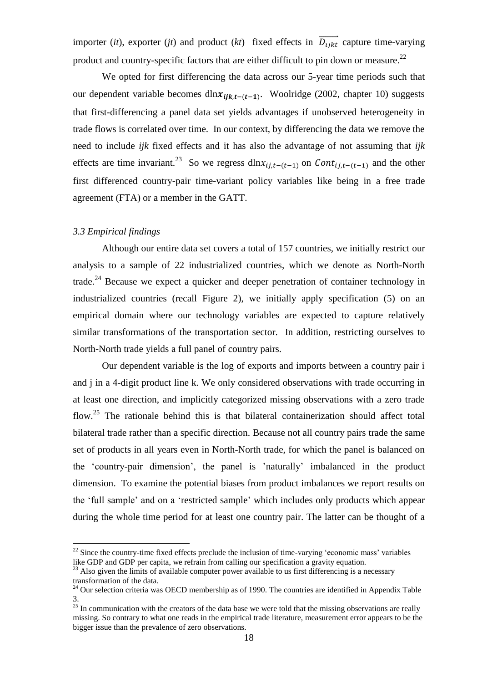importer (*it*), exporter (*jt*) and product (*kt*) fixed effects in  $\overrightarrow{D_{i\ell}}$  capture time-varying product and country-specific factors that are either difficult to pin down or measure.<sup>22</sup>

We opted for first differencing the data across our 5-year time periods such that our dependent variable becomes dln $x_{ijk,t-(t-1)}$ . Woolridge (2002, chapter 10) suggests that first-differencing a panel data set yields advantages if unobserved heterogeneity in trade flows is correlated over time. In our context, by differencing the data we remove the need to include *ijk* fixed effects and it has also the advantage of not assuming that *ijk* effects are time invariant.<sup>23</sup> So we regress  $dlnx_{i,j,t-(t-1)}$  on  $Cont_{i,j,t-(t-1)}$  and the other first differenced country-pair time-variant policy variables like being in a free trade agreement (FTA) or a member in the GATT.

### *3.3 Empirical findings*

 $\overline{a}$ 

Although our entire data set covers a total of 157 countries, we initially restrict our analysis to a sample of 22 industrialized countries, which we denote as North-North trade.<sup>24</sup> Because we expect a quicker and deeper penetration of container technology in industrialized countries (recall Figure 2), we initially apply specification (5) on an empirical domain where our technology variables are expected to capture relatively similar transformations of the transportation sector. In addition, restricting ourselves to North-North trade yields a full panel of country pairs.

Our dependent variable is the log of exports and imports between a country pair i and j in a 4-digit product line k. We only considered observations with trade occurring in at least one direction, and implicitly categorized missing observations with a zero trade flow.<sup>25</sup> The rationale behind this is that bilateral containerization should affect total bilateral trade rather than a specific direction. Because not all country pairs trade the same set of products in all years even in North-North trade, for which the panel is balanced on the "country-pair dimension", the panel is "naturally" imbalanced in the product dimension. To examine the potential biases from product imbalances we report results on the "full sample" and on a "restricted sample" which includes only products which appear during the whole time period for at least one country pair. The latter can be thought of a

 $22$  Since the country-time fixed effects preclude the inclusion of time-varying 'economic mass' variables like GDP and GDP per capita, we refrain from calling our specification a gravity equation.

 $23$  Also given the limits of available computer power available to us first differencing is a necessary transformation of the data.

 $24$  Our selection criteria was OECD membership as of 1990. The countries are identified in Appendix Table 3.

 $25$  In communication with the creators of the data base we were told that the missing observations are really missing. So contrary to what one reads in the empirical trade literature, measurement error appears to be the bigger issue than the prevalence of zero observations.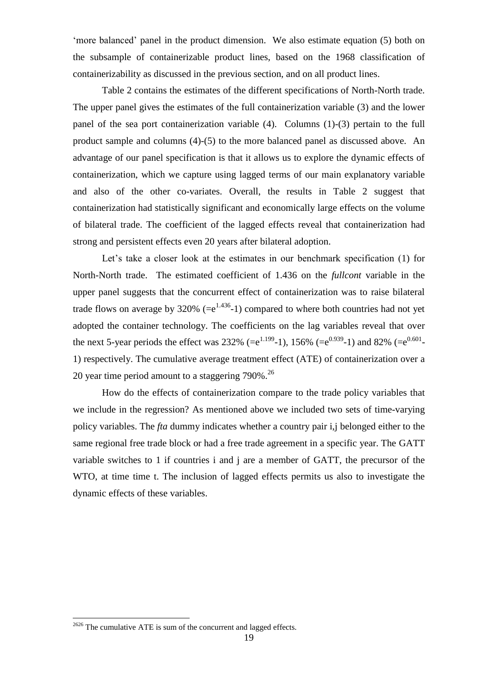'more balanced' panel in the product dimension. We also estimate equation (5) both on the subsample of containerizable product lines, based on the 1968 classification of containerizability as discussed in the previous section, and on all product lines.

Table 2 contains the estimates of the different specifications of North-North trade. The upper panel gives the estimates of the full containerization variable (3) and the lower panel of the sea port containerization variable (4). Columns (1)-(3) pertain to the full product sample and columns (4)-(5) to the more balanced panel as discussed above. An advantage of our panel specification is that it allows us to explore the dynamic effects of containerization, which we capture using lagged terms of our main explanatory variable and also of the other co-variates. Overall, the results in Table 2 suggest that containerization had statistically significant and economically large effects on the volume of bilateral trade. The coefficient of the lagged effects reveal that containerization had strong and persistent effects even 20 years after bilateral adoption.

Let's take a closer look at the estimates in our benchmark specification (1) for North-North trade. The estimated coefficient of 1.436 on the *fullcont* variable in the upper panel suggests that the concurrent effect of containerization was to raise bilateral trade flows on average by 320% (= $e^{1.436}$ -1) compared to where both countries had not yet adopted the container technology. The coefficients on the lag variables reveal that over the next 5-year periods the effect was 232% (= $e^{1.199}$ -1), 156% (= $e^{0.939}$ -1) and 82% (= $e^{0.601}$ -1) respectively. The cumulative average treatment effect (ATE) of containerization over a 20 year time period amount to a staggering 790%.<sup>26</sup>

How do the effects of containerization compare to the trade policy variables that we include in the regression? As mentioned above we included two sets of time-varying policy variables. The *fta* dummy indicates whether a country pair i,j belonged either to the same regional free trade block or had a free trade agreement in a specific year. The GATT variable switches to 1 if countries i and j are a member of GATT, the precursor of the WTO, at time time t. The inclusion of lagged effects permits us also to investigate the dynamic effects of these variables.

 $2626$  The cumulative ATE is sum of the concurrent and lagged effects.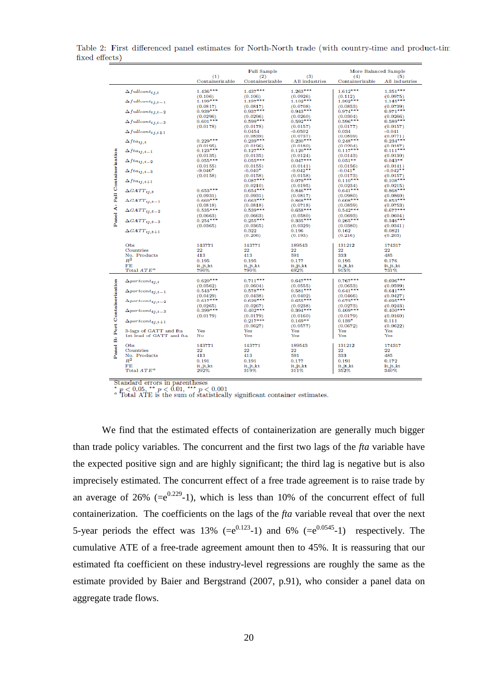|                                |                                                    | (1)                    | <b>Full Sample</b><br>(2) | (3)                    | More Balanced Sample<br>(4) | (5)                    |
|--------------------------------|----------------------------------------------------|------------------------|---------------------------|------------------------|-----------------------------|------------------------|
|                                |                                                    | Containerizable        | Containerizable           | All industries         | Containerizable             | All industries         |
|                                | $\Delta full cont_{i1,t}$                          | $1.436***$             | $1.437***$                | $1.263***$             | $1.612***$                  | $1.351***$             |
|                                | $\Delta full cont_{ij,t-1}$                        | (0.106)<br>$1.199***$  | (0.106)<br>$1.197***$     | (0.0926)<br>$1.102***$ | (0.112)<br>$1.302***$       | (0.0975)<br>$1.145***$ |
|                                |                                                    | (0.0817)               | (0.0817)                  | (0.0708)               | (0.0853)                    | (0.0739)               |
|                                | $\Delta full cont_{i,j,t-2}$                       | $0.939***$             | $0.937***$                | $0.943***$             | $0.974***$                  | $0.971***$             |
|                                | $\Delta full cont_{ij,t-3}$                        | (0.0296)<br>$0.601***$ | (0.0296)<br>$0.599***$    | (0.0260)<br>$0.592***$ | (0.0304)<br>$0.596***$      | (0.0266)<br>$0.589***$ |
|                                |                                                    | (0.0178)               | (0.0178)                  | (0.0157)               | (0.0177)                    | (0.0157)               |
|                                | $\Delta full cont_{ij,t+1}$                        |                        | 0.0454<br>(0.0839)        | $-0.0502$<br>(0.0737)  | 0.034<br>(0.0859)           | $-0.041$<br>(0.0771)   |
|                                | $\Delta f t a_{ij,t}$                              | $0.229***$             | $0.239***$                | $0.230***$             | $0.248***$                  | $0.234***$             |
|                                |                                                    | (0.0195)               | (0.0196)                  | (0.0180)               | (0.0204)                    | (0.0187)               |
|                                | $\Delta f t a_{ij,t-1}$                            | $0.123***$             | $0.127***$                | $0.120***$             | $0.117***$                  | $0.111***$             |
| Panel A: Full Containerization | $\Delta f t a_{ij,t-2}$                            | (0.0135)<br>$0.055***$ | (0.0135)<br>$0.055***$    | (0.0124)<br>$0.047***$ | (0.0143)<br>$0.051**$       | (0.0130)<br>$0.043**$  |
|                                |                                                    | (0.0155)               | (0.0155)                  | (0.0141)               | (0.0156)                    | (0.0141)               |
|                                | $\Delta f t a_{ij,t-3}$                            | $-0.040*$              | $-0.040*$                 | $-0.042**$             | $-0.041*$                   | $-0.042**$             |
|                                | $\Delta f t a_{ij,t+1}$                            | (0.0158)               | (0.0158)<br>$0.087***$    | (0.0158)<br>$0.079***$ | (0.0173)<br>$0.110***$      | (0.0157)<br>$0.108***$ |
|                                |                                                    |                        | (0.0210)                  | (0.0195)               | (0.0234)                    | (0.0215)               |
|                                | $\Delta GATT_{ij,t}$                               | $0.653***$             | $0.654***$                | $0.846***$             | $0.641***$                  | $0.868***$             |
|                                | $\Delta GATT_{ij,t-1}$                             | (0.0931)<br>$0.660***$ | (0.0931)<br>$0.663***$    | (0.0817)<br>$0.868***$ | (0.0980)<br>$0.608***$      | (0.0860)<br>$0.853***$ |
|                                |                                                    | (0.0818)               | (0.0818)                  | (0.0718)               | (0.0859)                    | (0.0753)               |
|                                | $\Delta GATT_{ij,t-2}$                             | $0.535***$             | $0.539***$                | $0.658***$             | $0.542***$                  | $0.677***$             |
|                                | $\Delta GATT_{ij,t=3}$                             | (0.0663)<br>$0.254***$ | (0.0663)<br>$0.255***$    | (0.0580)<br>$0.335***$ | (0.0693)<br>$0.265***$      | (0.0604)<br>$0.346***$ |
|                                |                                                    | (0.0365)               | (0.0365)                  | (0.0329)               | (0.0380)                    | (0.0341)               |
|                                | $\Delta GATT_{ij,t+1}$                             |                        | 0.322<br>(0.206)          | 0.196                  | 0.162<br>(0.216)            | 0.0821<br>(0.203)      |
|                                |                                                    |                        |                           | (0.193)                |                             |                        |
|                                | Obs                                                | 143771                 | 143771                    | 189543                 | 131212                      | 174317                 |
|                                | Countries<br>No. Products                          | 22<br>413              | 22<br>413                 | 22<br>591              | 22<br>333                   | 22<br>485              |
|                                | $R^2$                                              | 0.195                  | 0.195                     | 0.177                  | 0.195                       | 0.176                  |
|                                | FE                                                 | it.jt.kt               | it.jt.kt                  | it, jt, kt             | it.jt.kt                    | it, jt, kt             |
|                                | Total $ATE^a$                                      | 790%                   | 790%                      | 692%                   | 915%                        | 731%                   |
|                                | $\Delta$ portcont <sub>11.t</sub>                  | $0.620***$             | $0.711***$                | $0.647***$             | $0.767***$                  | $0.696***$             |
|                                |                                                    | (0.0562)               | (0.0604)                  | (0.0555)               | (0.0653)                    | (0.0599)               |
|                                | $\Delta$ portcont <sub>11,t-1</sub>                | $0.543***$<br>(0.0429) | $0.578***$<br>(0.0438)    | $0.581***$<br>(0.0402) | $0.641***$<br>(0.0466)      | $0.641***$<br>(0.0427) |
|                                | $\Delta$ portcont <sub>1j,t-2</sub>                | $0.617***$             | $0.629***$                | $0.655***$             | $0.673***$                  | $0.695***$             |
|                                |                                                    | (0.0265)               | (0.0267)                  | (0.0238)               | (0.0273)                    | (0.0243)               |
|                                | $\Delta$ portcont <sub>11,t-3</sub>                | $0.399***$<br>(0.0179) | $0.402***$<br>(0.0179)    | $0.394***$<br>(0.0160) | $0.409***$<br>(0.0179)      | $0.400***$<br>(0.0160) |
|                                | $\Delta$ portcont <sub>ij,t+1</sub>                |                        | $0.217***$                | $0.169**$              | $0.139*$                    | 0.111                  |
|                                |                                                    |                        | (0.0627)                  | (0.0577)               | (0.0672)                    | (0.0622)               |
|                                | 3-lags of GATT and fta<br>1st lead of GATT and fta | Yes<br>No              | Yes<br>Yes                | Yes<br>Yes             | Yes<br>Yes                  | Yes<br>Yes             |
| Panel B: Port Containerization |                                                    |                        |                           |                        |                             |                        |
|                                | Obs                                                | 143771<br>22           | 143771<br>22              | 189543<br>22           | 131919<br>22                | 174317<br>22           |
|                                | Countries<br>No. Products                          | 413                    | 413                       | 591                    | 333                         | 485                    |
|                                | $R^2$                                              | 0.191                  | 0.191                     | 0.177                  | 0.191                       | 0.172                  |
|                                | FE                                                 | it.jt.kt               | it.jt.kt                  | it, jt, kt             | it, jt, kt                  | it.jt.kt               |
|                                | Total $ATE^a$                                      | 292%                   | 319%                      | 311%                   | 352%                        | 340%                   |

Table 2: First differenced panel estimates for North-North trade (with country-time and product-tim fixed effects)

Standard errors in parentheses<br>\*  $p < 0.05$ , \*\*  $p < 0.01$ , \*\*\*  $p < 0.001$ <br>\* Total ATE is the sum of statistically significant container estimates.

We find that the estimated effects of containerization are generally much bigger than trade policy variables. The concurrent and the first two lags of the *fta* variable have the expected positive sign and are highly significant; the third lag is negative but is also imprecisely estimated. The concurrent effect of a free trade agreement is to raise trade by an average of 26% ( $=e^{0.229}$ -1), which is less than 10% of the concurrent effect of full containerization. The coefficients on the lags of the *fta* variable reveal that over the next 5-year periods the effect was 13% ( $=e^{0.123}$ -1) and 6% ( $=e^{0.0545}$ -1) respectively. The cumulative ATE of a free-trade agreement amount then to 45%. It is reassuring that our estimated fta coefficient on these industry-level regressions are roughly the same as the estimate provided by Baier and Bergstrand (2007, p.91), who consider a panel data on aggregate trade flows.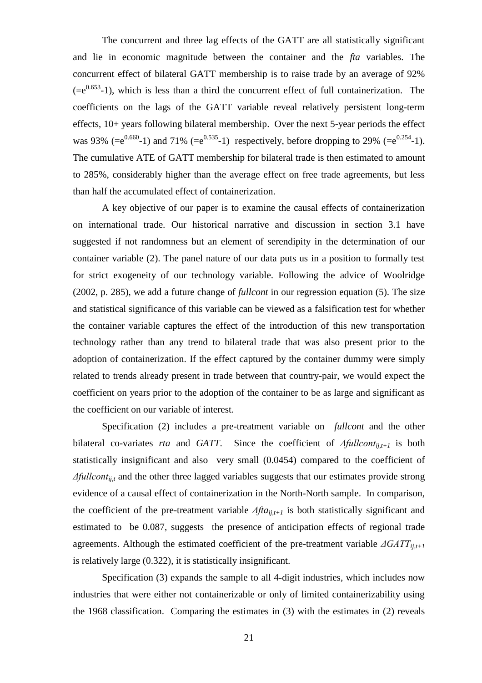The concurrent and three lag effects of the GATT are all statistically significant and lie in economic magnitude between the container and the *fta* variables. The concurrent effect of bilateral GATT membership is to raise trade by an average of 92%  $(=e^{0.653}-1)$ , which is less than a third the concurrent effect of full containerization. The coefficients on the lags of the GATT variable reveal relatively persistent long-term effects, 10+ years following bilateral membership. Over the next 5-year periods the effect was 93% (= $e^{0.660}$ -1) and 71% (= $e^{0.535}$ -1) respectively, before dropping to 29% (= $e^{0.254}$ -1). The cumulative ATE of GATT membership for bilateral trade is then estimated to amount to 285%, considerably higher than the average effect on free trade agreements, but less than half the accumulated effect of containerization.

A key objective of our paper is to examine the causal effects of containerization on international trade. Our historical narrative and discussion in section 3.1 have suggested if not randomness but an element of serendipity in the determination of our container variable (2). The panel nature of our data puts us in a position to formally test for strict exogeneity of our technology variable. Following the advice of Woolridge (2002, p. 285), we add a future change of *fullcont* in our regression equation (5). The size and statistical significance of this variable can be viewed as a falsification test for whether the container variable captures the effect of the introduction of this new transportation technology rather than any trend to bilateral trade that was also present prior to the adoption of containerization. If the effect captured by the container dummy were simply related to trends already present in trade between that country-pair, we would expect the coefficient on years prior to the adoption of the container to be as large and significant as the coefficient on our variable of interest.

Specification (2) includes a pre-treatment variable on *fullcont* and the other bilateral co-variates *rta* and *GATT*. Since the coefficient of *Δfullcontij,t+1* is both statistically insignificant and also very small (0.0454) compared to the coefficient of *Δfullcont<sub>iit</sub>* and the other three lagged variables suggests that our estimates provide strong evidence of a causal effect of containerization in the North-North sample. In comparison, the coefficient of the pre-treatment variable  $Afta<sub>ii,t+1</sub>$  is both statistically significant and estimated to be 0.087, suggests the presence of anticipation effects of regional trade agreements. Although the estimated coefficient of the pre-treatment variable *ΔGATTij,t+1* is relatively large (0.322), it is statistically insignificant.

Specification (3) expands the sample to all 4-digit industries, which includes now industries that were either not containerizable or only of limited containerizability using the 1968 classification. Comparing the estimates in (3) with the estimates in (2) reveals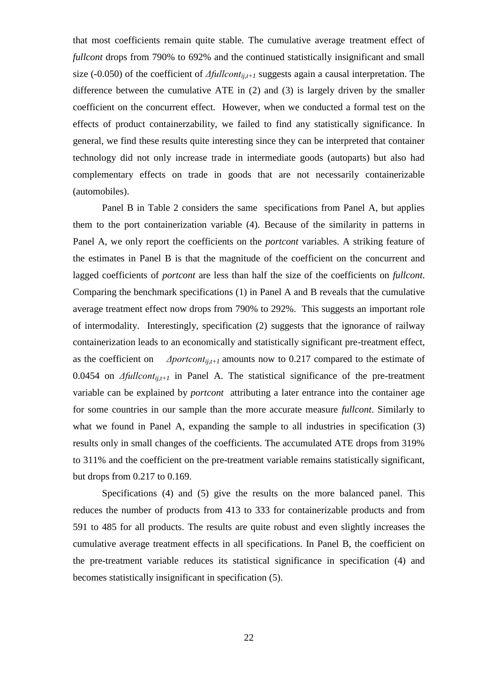that most coefficients remain quite stable. The cumulative average treatment effect of *fullcont* drops from 790% to 692% and the continued statistically insignificant and small size (-0.050) of the coefficient of *Δfullcontij,t+1* suggests again a causal interpretation. The difference between the cumulative ATE in (2) and (3) is largely driven by the smaller coefficient on the concurrent effect. However, when we conducted a formal test on the effects of product containerzability, we failed to find any statistically significance. In general, we find these results quite interesting since they can be interpreted that container technology did not only increase trade in intermediate goods (autoparts) but also had complementary effects on trade in goods that are not necessarily containerizable (automobiles).

Panel B in Table 2 considers the same specifications from Panel A, but applies them to the port containerization variable (4). Because of the similarity in patterns in Panel A, we only report the coefficients on the *portcont* variables. A striking feature of the estimates in Panel B is that the magnitude of the coefficient on the concurrent and lagged coefficients of *portcont* are less than half the size of the coefficients on *fullcont*. Comparing the benchmark specifications (1) in Panel A and B reveals that the cumulative average treatment effect now drops from 790% to 292%. This suggests an important role of intermodality. Interestingly, specification (2) suggests that the ignorance of railway containerization leads to an economically and statistically significant pre-treatment effect, as the coefficient on *Δportcontij,t+1* amounts now to 0.217 compared to the estimate of 0.0454 on *Δfullcontij,t+1* in Panel A. The statistical significance of the pre-treatment variable can be explained by *portcont* attributing a later entrance into the container age for some countries in our sample than the more accurate measure *fullcont*. Similarly to what we found in Panel A, expanding the sample to all industries in specification (3) results only in small changes of the coefficients. The accumulated ATE drops from 319% to 311% and the coefficient on the pre-treatment variable remains statistically significant, but drops from 0.217 to 0.169.

Specifications (4) and (5) give the results on the more balanced panel. This reduces the number of products from 413 to 333 for containerizable products and from 591 to 485 for all products. The results are quite robust and even slightly increases the cumulative average treatment effects in all specifications. In Panel B, the coefficient on the pre-treatment variable reduces its statistical significance in specification (4) and becomes statistically insignificant in specification (5).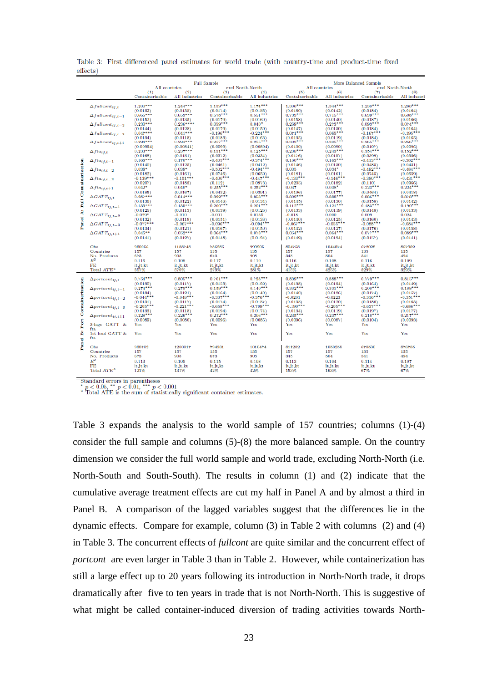|                       |                                     |                                     |                                    | <b>Full Sample</b>                  |                                    |                                     |                                    | <b>More Balanced Sample</b>        |                                     |
|-----------------------|-------------------------------------|-------------------------------------|------------------------------------|-------------------------------------|------------------------------------|-------------------------------------|------------------------------------|------------------------------------|-------------------------------------|
|                       |                                     | All countries                       |                                    | excl North-North                    |                                    | All countries                       |                                    | excl North-North                   |                                     |
|                       |                                     | (1)<br>Containerizable              | (2)<br>All industries              | (3)<br>Containerizable              | (4)<br>All industries              | (5)<br>Containerizable              | (6)<br>All industries              | (7)<br>Containerizable             | (8)<br>All industri                 |
|                       | $\Delta full cont_{ij,t}$           | $1.200***$                          | $1.244***$                         | $1.139***$                          | $1.174***$                         | $1.306***$                          | $1.344***$                         | $1.238***$                         | $1.268***$                          |
|                       | $\Delta full cont_{ij,t-1}$         | (0.0152)<br>$0.665***$              | (0.0135)<br>$0.653***$             | (0.0174)<br>$0.578***$              | (0.0156)<br>$0.551***$             | (0.0160)<br>$0.733***$              | (0.0142)<br>$0.715***$             | (0.0184)<br>$0.639***$             | (0.0164)<br>$0.608***$              |
|                       | $\Delta fullcont_{ij,t-2}$          | (0.0152)<br>$0.230***$              | (0.0135)<br>$0.236***$             | (0.0179)<br>$0.059***$              | (0.0160)<br>$0.040*$               | (0.0158)<br>$0.269***$              | (0.0140)<br>$0.273***$             | (0.0187)<br>$0.093***$             | (0.0166)<br>$0.074***$              |
|                       | $\Delta fullcont_{ij,t=3}$          | (0.0144)<br>$0.047***$              | (0.0128)<br>$0.041***$             | (0.0179)<br>$-0.196***$             | (0.0159)<br>$-0.224***$            | (0.0147)<br>$0.071***$              | (0.0130)<br>$0.065***$             | (0.0184)<br>$-0.167***$            | (0.0164)<br>$-0.195***$             |
|                       | $\Delta fullcont_{ij,t+1}$          | (0.0134)<br>$0.294***$              | (0.0118)<br>$0.294***$             | (0.0183)<br>$0.257***$              | (0.0163)<br>$0.255***$             | (0.0135)<br>$0.303***$              | (0.0119)<br>$0.305***$             | (0.0184)<br>$0.265***$             | (0.0165)<br>$0.266***$              |
|                       | $\Delta f t a_{ij,t}$               | (0.00934)<br>$0.233***$             | (0.00841)<br>$0.237***$            | (0.0099)<br>$0.131***$              | (0.00894)<br>$0.125***$            | (0.0100)<br>$0.238***$              | (0.0090)<br>$0.243***$             | (0.0107)<br>$0.154***$             | (0.0096)<br>$0.152***$              |
|                       | $\Delta f t a_{ij,t-1}$             | (0.0168)<br>$0.168***$              | (0.0151)<br>$0.170***$             | (0.0372)<br>$-0.405***$             | (0.0334)<br>$-0.374***$            | (0.0176)<br>$0.160***$              | (0.0157)<br>$0.163***$             | (0.0399)<br>$-0.413***$            | (0.0356)<br>$-0.382***$             |
|                       | $\Delta f t a_{ij,t-2}$             | (0.0140)<br>$0.038*$                | (0.0125)<br>$0.038*$               | (0.0461)<br>$-0.502***$             | (0.0412)<br>$-0.494***$            | (0.0146)<br>0.035                   | (0.0130)<br>$0.034*$               | (0.0485)<br>$-0.492***$            | (0.0431)<br>$-0.484$ ***            |
|                       | $\Delta fta_{ij,t=3}$               | (0.0182)<br>$-0.139***$             | (0.0161)<br>$-0.151***$            | (0.0746)<br>$-0.400***$             | (0.0659)<br>$-0.447***$            | (0.0181)<br>$-0.133***$             | (0.0161)<br>$-0.146***$            | (0.0745)<br>$-0.380***$            | (0.0659)<br>$-0.431***$             |
|                       | $\Delta f t a_{ij,t+1}$             | (0.0207)<br>$0.042*$                | (0.0183)<br>$0.040*$               | (0.112)<br>$0.255***$               | (0.0973)<br>$0.252***$             | (0.0205)<br>0.037                   | (0.0182)<br>$0.038*$               | (0.110)<br>$0.223***$              | (0.0966)<br>$0.224***$              |
|                       | $\Delta GATT_{ij,t}$                | (0.0185)<br>$0.287***$              | (0.0167)<br>$0.314***$             | (0.0432)<br>$0.322***$              | (0.0391)<br>$0.353***$             | (0.0196)<br>$0.302***$              | (0.0177)<br>$0.333***$             | (0.0464)<br>$0.336***$             | (0.0418)<br>$0.373***$              |
| Full Containerization | $\Delta GATT_{ij,t=1}$              | (0.0136)<br>$0.133***$              | (0.0122)<br>$0.135***$             | (0.0148)<br>$0.200***$              | (0.0134)<br>$0.201***$             | (0.0145)<br>$0.112***$              | (0.0130)<br>$0.121***$             | (0.0158)<br>$0.183***$             | (0.0142)<br>$0.190***$              |
| ä<br>Panel            | $\Delta GATT_{ij,t-2}$              | (0.0125)<br>$-0.029*$               | (0.0113)<br>$-0.010$               | (0.0139)<br>$-0.001$                | (0.0126)<br>0.0135                 | (0.0133)<br>$-0.018$                | (0.0119)<br>0.000                  | (0.0148)<br>0.009                  | (0.0133)<br>0.024                   |
|                       | $\Delta GATT_{ij,t=3}$              | (0.0132)<br>$-0.077***$             | (0.0119)<br>$-0.067***$            | (0.0151)<br>$-0.096***$             | (0.0136)<br>$-0.094***$            | (0.0140)<br>$-0.067***$             | (0.0125)<br>$-0.055***$            | (0.0160)<br>$-0.088***$            | (0.0143)<br>$-0.084***$             |
|                       | $\Delta GATT_{ij,t+1}$              | (0.0134)<br>$0.045**$               | (0.0121)<br>$0.052***$             | (0.0167)<br>$0.064***$              | (0.0150)<br>$0.073***$             | (0.0142)<br>$0.054***$              | (0.0127)<br>$0.064***$             | (0.0176)<br>$0.077***$             | (0.0158)<br>$0.089***$              |
|                       |                                     | (0.0141)                            | (0.0127)                           | (0.0148)                            | (0.0134)                           | (0.0149)                            | (0.0134)                           | (0.0157)                           | (0.0141)                            |
|                       | Obs<br>Countries                    | 930056<br>157                       | 1188748<br>157                     | 786285<br>135                       | 999205<br>135                      | 804758<br>157                       | 1044374<br>157                     | 672028<br>135                      | 867932<br>135                       |
|                       | No. Products                        | 673                                 | 908                                | 673                                 | 908                                | 345                                 | 504                                | 341                                | 494                                 |
|                       | $R^2$                               | 0.116                               | 0.108                              | 0.117                               | 0.110                              | 0.116                               | 0.108                              | 0.116                              | 0.109                               |
|                       | FE<br>Total $ATE^a$                 | it,jt,kt<br>357%                    | it, jt, kt<br>370%                 | it,jt,kt<br>279%                    | it, jt, kt<br>281%                 | it,jt,kt<br>415%                    | it, jt, kt<br>425%                 | it, jt, kt<br>329%                 | it, jt, kt<br>329%                  |
|                       | $\Delta$ portcont <sub>11.t</sub>   | $0.754***$                          | $0.805***$                         | $0.701***$                          | $0.738***$                         | $0.839***$                          | $0.888***$                         | $0.779***$                         | $0.815***$                          |
|                       | $\Delta$ portcont <sub>1j,t-1</sub> | (0.0130)<br>$0.274***$              | (0.0117)<br>$0.275***$             | (0.0153)<br>$0.159***$              | (0.0139)<br>$0.140***$             | (0.0138)<br>$0.332***$              | (0.0124)<br>$0.331***$             | (0.0164)<br>$0.208***$             | (0.0149)<br>$0.188***$              |
| Containerization      | $\Delta$ portcont <sub>ij,t-2</sub> | (0.0134)<br>$-0.044$ ***            | (0.0121)<br>$-0.048***$            | (0.0164)<br>$-0.337***$             | (0.0149)<br>$-0.376***$            | (0.0140)<br>$-0.0201$               | (0.0126)<br>$-0.0223$              | (0.0174)<br>$-0.316***$            | (0.0157)<br>$-0.351***$             |
|                       | $\Delta$ portcont <sub>11,t-3</sub> | (0.0131)<br>$-0.205***$<br>(0.0133) | (0.0117)<br>$-0.221***$            | (0.0174)<br>$-0.658***$<br>(0.0194) | (0.0157)<br>$-0.709***$            | (0.0135)<br>$-0.190***$<br>(0.0134) | (0.0120)<br>$-0.205***$            | (0.0180)<br>$-0.637***$            | (0.0163)<br>$-0.686***$<br>(0.0177) |
|                       | $\Delta$ portcont <sub>11,t+1</sub> | $0.228***$<br>(0.0089)              | (0.0118)<br>$0.226***$<br>(0.0080) | $0.212***$<br>(0.0096)              | (0.0174)<br>$0.206***$<br>(0.0086) | $0.235***$<br>(0.0096)              | (0.0119)<br>$0.237***$<br>(0.0087) | (0.0197)<br>$0.218***$<br>(0.0104) | $0.217***$<br>(0.0093)              |
| Port                  | 3-lags GATT &<br>fta                | Yes                                 | Yes                                | Yes                                 | Yes                                | Yes                                 | Yes                                | Yes                                | Yes                                 |
| Panel B:              | 1st lead GATT &<br>fta              | Yes                                 | Yes                                | Yes                                 | Yes                                | Yes                                 | Yes                                | Yes                                | Yes                                 |
|                       | Obs                                 | 938702                              | 1200017                            | 794931                              | 1010474                            | 811282                              | 1053255                            | 678530                             | 876785                              |
|                       | Countries                           | 157                                 | 157                                | 135                                 | 135                                | 157                                 | 157                                | 135                                | 135                                 |
|                       | No. Products<br>$R^2$               | 673                                 | 908                                | 673                                 | 908                                | 345                                 | 504                                | 341                                | 494                                 |
|                       | FE                                  | 0.113                               | 0.105                              | 0.115                               | 0.108                              | 0.113                               | 0.104                              | 0.114                              | 0.107                               |
|                       | Total ATE <sup>a</sup>              | it.jt.kt<br>121%                    | it, jt, kt<br>131%                 | it.jt.kt<br>42%                     | it, jt, kt<br>42%                  | it, jt, kt<br>153%                  | it, jt, kt<br>163%                 | it,jt,kt<br>67%                    | it, jt, kt<br>67%                   |
|                       |                                     |                                     |                                    |                                     |                                    |                                     |                                    |                                    |                                     |

Table 3: First differenced panel estimates for world trade (with country-time and product-time fixed  $effects)$ 

Standard errors in parentheses<br>
\*  $p < 0.05$ , \*\*  $p < 0.01$ , \*\*\*  $p < 0.001$ <br>
\* Total ATE is the sum of statistically significant container estimates.

Table 3 expands the analysis to the world sample of 157 countries; columns (1)-(4) consider the full sample and columns (5)-(8) the more balanced sample. On the country dimension we consider the full world sample and world trade, excluding North-North (i.e. North-South and South-South). The results in column (1) and (2) indicate that the cumulative average treatment effects are cut my half in Panel A and by almost a third in Panel B. A comparison of the lagged variables suggest that the differences lie in the dynamic effects. Compare for example, column (3) in Table 2 with columns (2) and (4) in Table 3. The concurrent effects of *fullcont* are quite similar and the concurrent effect of *portcont* are even larger in Table 3 than in Table 2. However, while containerization has still a large effect up to 20 years following its introduction in North-North trade, it drops dramatically after five to ten years in trade that is not North-North. This is suggestive of what might be called container-induced diversion of trading activities towards North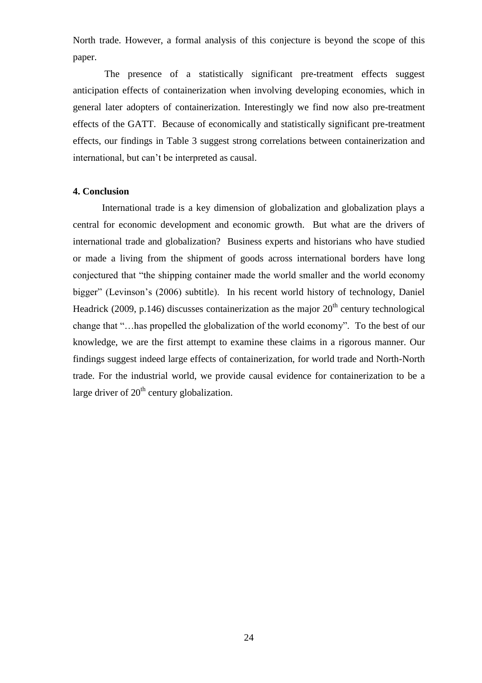North trade. However, a formal analysis of this conjecture is beyond the scope of this paper.

The presence of a statistically significant pre-treatment effects suggest anticipation effects of containerization when involving developing economies, which in general later adopters of containerization. Interestingly we find now also pre-treatment effects of the GATT. Because of economically and statistically significant pre-treatment effects, our findings in Table 3 suggest strong correlations between containerization and international, but can"t be interpreted as causal.

### **4. Conclusion**

International trade is a key dimension of globalization and globalization plays a central for economic development and economic growth. But what are the drivers of international trade and globalization? Business experts and historians who have studied or made a living from the shipment of goods across international borders have long conjectured that "the shipping container made the world smaller and the world economy bigger" (Levinson"s (2006) subtitle). In his recent world history of technology, Daniel Headrick (2009, p.146) discusses containerization as the major  $20<sup>th</sup>$  century technological change that "…has propelled the globalization of the world economy". To the best of our knowledge, we are the first attempt to examine these claims in a rigorous manner. Our findings suggest indeed large effects of containerization, for world trade and North-North trade. For the industrial world, we provide causal evidence for containerization to be a large driver of  $20<sup>th</sup>$  century globalization.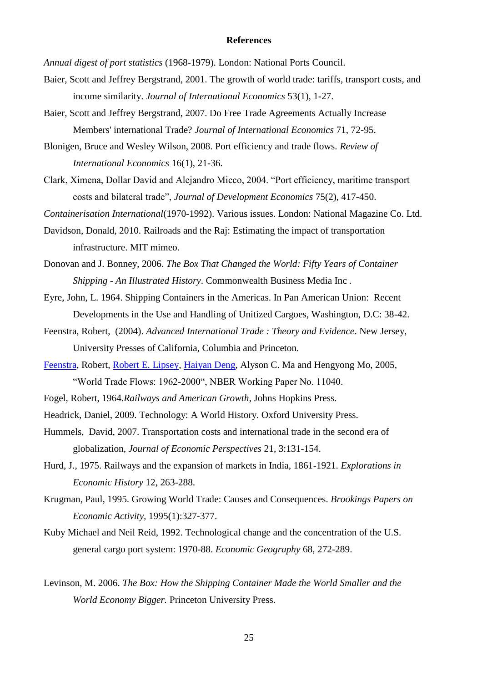#### **References**

*Annual digest of port statistics* (1968-1979). London: National Ports Council.

- Baier, Scott and Jeffrey Bergstrand, 2001. The growth of world trade: tariffs, transport costs, and income similarity. *Journal of International Economics* 53(1), 1-27.
- Baier, Scott and Jeffrey Bergstrand, 2007. Do Free Trade Agreements Actually Increase Members' international Trade? *Journal of International Economics* 71, 72-95.
- Blonigen, Bruce and Wesley Wilson, 2008. Port efficiency and trade flows. *Review of International Economics* 16(1), 21-36.
- Clark, Ximena, Dollar David and Alejandro Micco, 2004. "Port efficiency, maritime transport costs and bilateral trade", *Journal of Development Economics* 75(2), 417-450.

*Containerisation International*(1970-1992). Various issues. London: National Magazine Co. Ltd.

- Davidson, Donald, 2010. Railroads and the Raj: Estimating the impact of transportation infrastructure. MIT mimeo.
- Donovan and J. Bonney, 2006. *The Box That Changed the World: Fifty Years of Container Shipping - An Illustrated History*. Commonwealth Business Media Inc *.*
- Eyre, John, L. 1964. Shipping Containers in the Americas. In Pan American Union: Recent Developments in the Use and Handling of Unitized Cargoes, Washington, D.C: 38-42.
- Feenstra, Robert, (2004). *Advanced International Trade : Theory and Evidence*. New Jersey, University Presses of California, Columbia and Princeton.
- [Feenstra,](http://www.nber.org/people/robert_feenstra) Robert, [Robert E. Lipsey,](http://www.nber.org/people/robert_lipsey) [Haiyan Deng,](http://www.nber.org/people/haiyan_deng) Alyson C. Ma and Hengyong Mo, 2005, "World Trade Flows: 1962-2000", NBER Working Paper No. 11040.
- Fogel, Robert, 1964.*Railways and American Growth*, Johns Hopkins Press.

Headrick, Daniel, 2009. Technology: A World History. Oxford University Press.

- Hummels, David, 2007. Transportation costs and international trade in the second era of globalization, *Journal of Economic Perspectives* 21, 3:131-154.
- Hurd, J., 1975. Railways and the expansion of markets in India, 1861-1921. *Explorations in Economic History* 12, 263-288.
- Krugman, Paul, 1995. Growing World Trade: Causes and Consequences. *Brookings Papers on Economic Activity,* 1995(1):327-377.
- Kuby Michael and Neil Reid, 1992. Technological change and the concentration of the U.S. general cargo port system: 1970-88. *Economic Geography* 68, 272-289.
- Levinson, M. 2006. *The Box: How the Shipping Container Made the World Smaller and the World Economy Bigger.* Princeton University Press.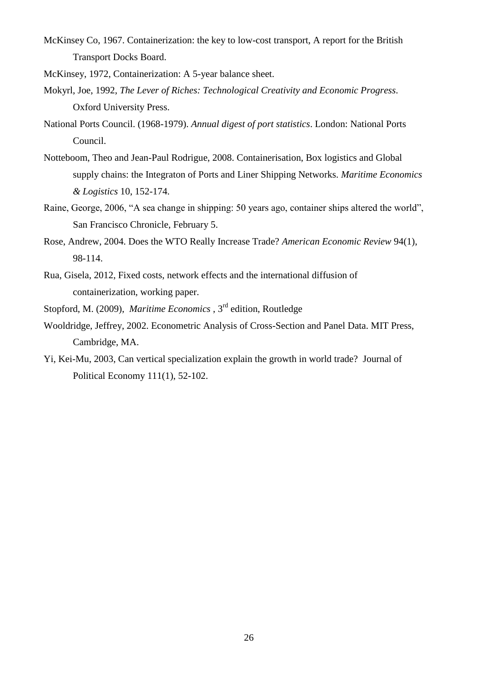- McKinsey Co, 1967. Containerization: the key to low-cost transport, A report for the British Transport Docks Board.
- McKinsey, 1972, Containerization: A 5-year balance sheet.
- Mokyrl, Joe, 1992, *The Lever of Riches: Technological Creativity and Economic Progress*. Oxford University Press.
- National Ports Council. (1968-1979). *Annual digest of port statistics*. London: National Ports Council.
- Notteboom, Theo and Jean-Paul Rodrigue, 2008. Containerisation, Box logistics and Global supply chains: the Integraton of Ports and Liner Shipping Networks. *Maritime Economics & Logistics* 10, 152-174.
- Raine, George, 2006, "A sea change in shipping: 50 years ago, container ships altered the world", San Francisco Chronicle, February 5.
- Rose, Andrew, 2004. Does the WTO Really Increase Trade? *American Economic Review* 94(1), 98-114.
- Rua, Gisela, 2012, Fixed costs, network effects and the international diffusion of containerization, working paper.
- Stopford, M. (2009), *Maritime Economics* , 3rd edition, Routledge
- Wooldridge, Jeffrey, 2002. Econometric Analysis of Cross-Section and Panel Data. MIT Press, Cambridge, MA.
- Yi, Kei-Mu, 2003, Can vertical specialization explain the growth in world trade? Journal of Political Economy 111(1), 52-102.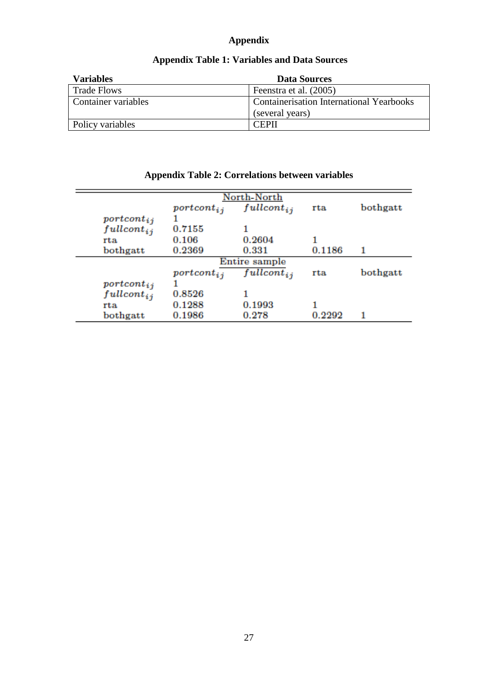## **Appendix**

| <b>Variables</b>    | <b>Data Sources</b>                             |
|---------------------|-------------------------------------------------|
| <b>Trade Flows</b>  | Feenstra et al. (2005)                          |
| Container variables | <b>Containerisation International Yearbooks</b> |
|                     | (several years)                                 |
| Policy variables    | <b>CEPIL</b>                                    |

## **Appendix Table 1: Variables and Data Sources**

|                  |                                     | North-North     |        |          |
|------------------|-------------------------------------|-----------------|--------|----------|
|                  | $\eta$ <i>portcont<sub>ij</sub></i> | $fullcont_{ij}$ | rta    | bothgatt |
| $\eta$           |                                     |                 |        |          |
| $full cont_{ij}$ | 0.7155                              |                 |        |          |
| rta              | 0.106                               | 0.2604          |        |          |
| bothgatt         | 0.2369                              | 0.331           | 0.1186 | 1        |
|                  |                                     | Entire sample   |        |          |
|                  | $\eta$ ortcont <sub>ij</sub>        | $fullcont_{ii}$ | rta    | bothgatt |
| $\eta$           |                                     |                 |        |          |
| $fullcont_{ij}$  | 0.8526                              |                 |        |          |
| rta              | 0.1288                              | 0.1993          |        |          |
| bothgatt         | 0.1986                              | 0.278           | 0.2292 |          |

## **Appendix Table 2: Correlations between variables**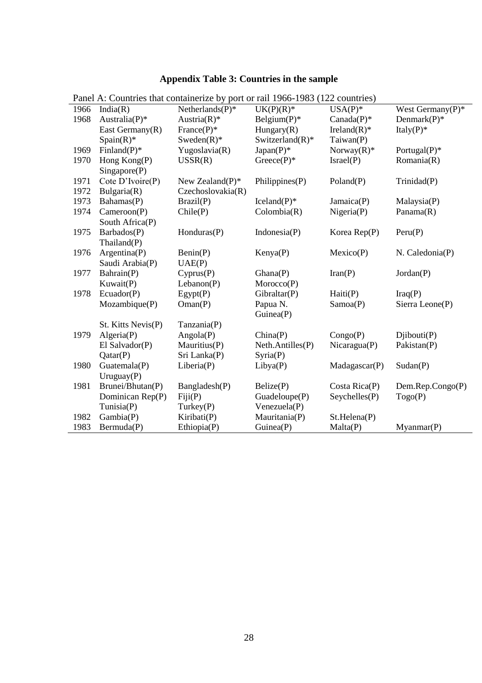# **Appendix Table 3: Countries in the sample**

| 1966 | India(R)                     | I allel A. Countries that containerize by port of fair 1700-1763 (122 countries)<br>Netherlands $(P)^*$ | $UK(P)(R)*$         | $USA(P)^*$      | West Germany $(P)^*$   |
|------|------------------------------|---------------------------------------------------------------------------------------------------------|---------------------|-----------------|------------------------|
| 1968 | Australia(P)*                | Austria $(R)^*$                                                                                         | Belgium $(P)^*$     | $Canada(P)*$    | Denmark $(P)^*$        |
|      |                              |                                                                                                         |                     |                 | Italy $(P)^*$          |
|      | East Germany(R)              | France $(P)^*$                                                                                          | Hungary(R)          | Ireland $(R)^*$ |                        |
|      | $Span(R)^*$                  | $Sweden(R)$ *                                                                                           | Switzerland $(R)^*$ | Taiwan(P)       |                        |
| 1969 | Finland $(P)^*$              | Yugoslavia(R)                                                                                           | $Japan(P)$ *        | Norway $(R)^*$  | Portugal $(P)^*$       |
| 1970 | Hong Kong(P)<br>Singapore(P) | USSR(R)                                                                                                 | $Greeze(P)^*$       | Israel(P)       | Romania(R)             |
| 1971 | Cote D'Ivoire(P)             | New Zealand $(P)^*$                                                                                     | Philippines(P)      | Poland(P)       | Trinidad(P)            |
| 1972 | Bulgaria(R)                  | Czechoslovakia(R)                                                                                       |                     |                 |                        |
| 1973 | Bahamas(P)                   | Brazil(P)                                                                                               | $Iceland(P)$ *      | Jamaica(P)      | Malaysia(P)            |
| 1974 | Cameroon(P)                  | Chile(P)                                                                                                | Colombia(R)         | Nigena(P)       | Panama(R)              |
|      | South Africa(P)              |                                                                                                         |                     |                 |                        |
| 1975 | Barbados(P)                  | Honduras(P)                                                                                             | Indonesia $(P)$     | Korea $Rep(P)$  | Peru(P)                |
|      | Thailand(P)                  |                                                                                                         |                     |                 |                        |
| 1976 | Argentina(P)                 | Benin(P)                                                                                                | Kenya(P)            | Mexico(P)       | N. Caledonia(P)        |
|      | Saudi Arabia(P)              | UAE(P)                                                                                                  |                     |                 |                        |
| 1977 | Bahrain(P)                   | Cyprus(P)                                                                                               | Ghana(P)            | Iran(P)         | Jordan(P)              |
|      | Kuwait(P)                    | Lebanon(P)                                                                                              | Moreover(P)         |                 |                        |
| 1978 | Ecuador(P)                   | Egypt(P)                                                                                                | Gibraltar(P)        | Haiti(P)        | Iraq(P)                |
|      | Mozambique(P)                | Oman(P)                                                                                                 | Papua N.            | Samoa(P)        | Sierra Leone(P)        |
|      |                              |                                                                                                         | Guinea(P)           |                 |                        |
|      | St. Kitts Nevis(P)           | Tanzania(P)                                                                                             |                     |                 |                        |
| 1979 | Algeria(P)                   | Angola(P)                                                                                               | China(P)            | Congo(P)        | Djibouti(P)            |
|      | El Salvador(P)               | Mauritius(P)                                                                                            | Neth.Antilles(P)    | Nicaragua(P)    | Pakistan(P)            |
|      | Qatar(P)                     | Sri Lanka(P)                                                                                            | Syria(P)            |                 |                        |
| 1980 | Guatemala(P)                 | Liberia(P)                                                                                              | Libya(P)            | Madagascar(P)   | Sudan(P)               |
|      | Uruguay $(P)$                |                                                                                                         |                     |                 |                        |
| 1981 | Brunei/Bhutan(P)             | Bangladesh(P)                                                                                           | Belize(P)           | Costa $Rica(P)$ | $Dem$ .Rep.Congo $(P)$ |
|      | Dominican Rep(P)             | Fiji(P)                                                                                                 | Guadeloupe(P)       | Seychelles(P)   | Togo(P)                |
|      | Tunisia(P)                   | Turkey(P)                                                                                               | Venezuela(P)        |                 |                        |
| 1982 | Gambia(P)                    | Kiribati(P)                                                                                             | Mauritania(P)       | St.Helena(P)    |                        |
| 1983 | Bermuda(P)                   | Ethiopia(P)                                                                                             | Guinea(P)           | Malta(P)        | Myannar(P)             |

Panel A: Countries that containerize by port or rail 1966-1983 (122 countries)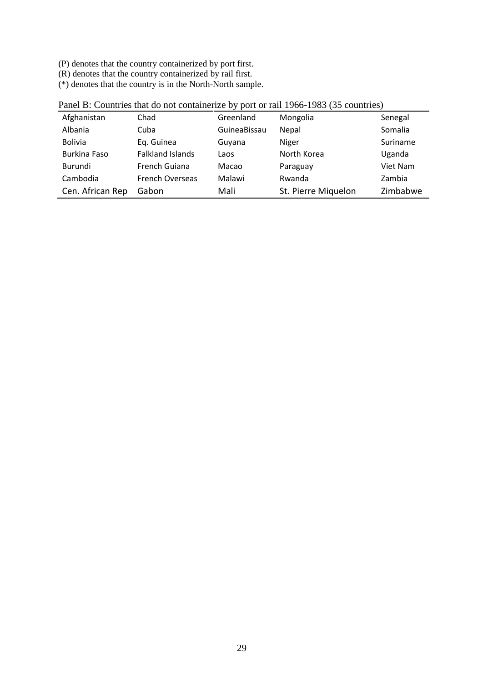(P) denotes that the country containerized by port first.

(R) denotes that the country containerized by rail first.

(\*) denotes that the country is in the North-North sample.

| Afghanistan      | Chad                    | Greenland    | Mongolia            | Senegal  |
|------------------|-------------------------|--------------|---------------------|----------|
| Albania          | Cuba                    | GuineaBissau | Nepal               | Somalia  |
| <b>Bolivia</b>   | Eq. Guinea              | Guyana       | Niger               | Suriname |
| Burkina Faso     | <b>Falkland Islands</b> | Laos         | North Korea         | Uganda   |
| Burundi          | French Guiana           | Macao        | Paraguay            | Viet Nam |
| Cambodia         | <b>French Overseas</b>  | Malawi       | Rwanda              | Zambia   |
| Cen. African Rep | Gabon                   | Mali         | St. Pierre Miquelon | Zimbabwe |

Panel B: Countries that do not containerize by port or rail 1966-1983 (35 countries)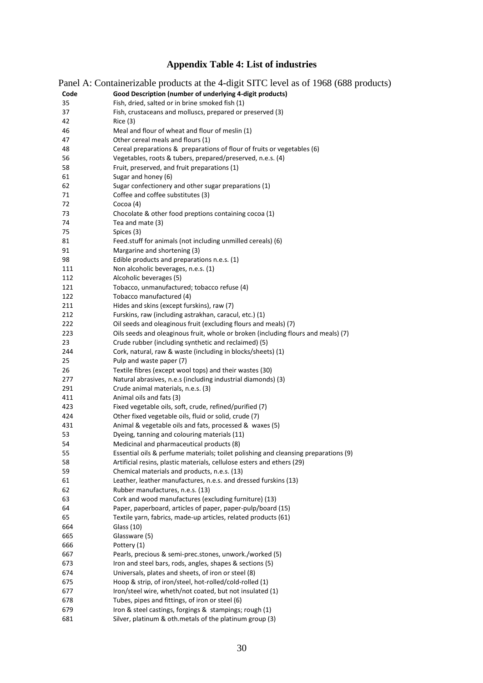# **Appendix Table 4: List of industries**

|      | Panel A: Containerizable products at the 4-digit SITC level as of 1968 (688 products) |
|------|---------------------------------------------------------------------------------------|
| Code | Good Description (number of underlying 4-digit products)                              |
| 35   | Fish, dried, salted or in brine smoked fish (1)                                       |
| 37   | Fish, crustaceans and molluscs, prepared or preserved (3)                             |
| 42   | Rice(3)                                                                               |
| 46   | Meal and flour of wheat and flour of meslin (1)                                       |
| 47   | Other cereal meals and flours (1)                                                     |
| 48   | Cereal preparations & preparations of flour of fruits or vegetables (6)               |
| 56   | Vegetables, roots & tubers, prepared/preserved, n.e.s. (4)                            |
| 58   | Fruit, preserved, and fruit preparations (1)                                          |
| 61   | Sugar and honey (6)                                                                   |
| 62   | Sugar confectionery and other sugar preparations (1)                                  |
| 71   | Coffee and coffee substitutes (3)                                                     |
| 72   | Cocoa $(4)$                                                                           |
| 73   | Chocolate & other food preptions containing cocoa (1)                                 |
| 74   | Tea and mate (3)                                                                      |
| 75   | Spices (3)                                                                            |
| 81   | Feed.stuff for animals (not including unmilled cereals) (6)                           |
| 91   | Margarine and shortening (3)                                                          |
| 98   | Edible products and preparations n.e.s. (1)                                           |
| 111  | Non alcoholic beverages, n.e.s. (1)                                                   |
| 112  | Alcoholic beverages (5)                                                               |
| 121  | Tobacco, unmanufactured; tobacco refuse (4)                                           |
| 122  | Tobacco manufactured (4)                                                              |
| 211  | Hides and skins (except furskins), raw (7)                                            |
| 212  | Furskins, raw (including astrakhan, caracul, etc.) (1)                                |
| 222  | Oil seeds and oleaginous fruit (excluding flours and meals) (7)                       |
| 223  | Oils seeds and oleaginous fruit, whole or broken (including flours and meals) (7)     |
| 23   | Crude rubber (including synthetic and reclaimed) (5)                                  |
| 244  | Cork, natural, raw & waste (including in blocks/sheets) (1)                           |
| 25   | Pulp and waste paper (7)                                                              |
| 26   | Textile fibres (except wool tops) and their wastes (30)                               |
| 277  | Natural abrasives, n.e.s (including industrial diamonds) (3)                          |
| 291  | Crude animal materials, n.e.s. (3)                                                    |
| 411  | Animal oils and fats (3)                                                              |
| 423  | Fixed vegetable oils, soft, crude, refined/purified (7)                               |
| 424  | Other fixed vegetable oils, fluid or solid, crude (7)                                 |
| 431  | Animal & vegetable oils and fats, processed & waxes (5)                               |
| 53   | Dyeing, tanning and colouring materials (11)                                          |
| 54   | Medicinal and pharmaceutical products (8)                                             |
| 55   | Essential oils & perfume materials; toilet polishing and cleansing preparations (9)   |
| 58   | Artificial resins, plastic materials, cellulose esters and ethers (29)                |
| 59   | Chemical materials and products, n.e.s. (13)                                          |
| 61   | Leather, leather manufactures, n.e.s. and dressed furskins (13)                       |
| 62   | Rubber manufactures, n.e.s. (13)                                                      |
| 63   | Cork and wood manufactures (excluding furniture) (13)                                 |
| 64   | Paper, paperboard, articles of paper, paper-pulp/board (15)                           |
| 65   | Textile yarn, fabrics, made-up articles, related products (61)                        |
| 664  | Glass (10)                                                                            |
| 665  | Glassware (5)                                                                         |
| 666  | Pottery (1)                                                                           |
| 667  | Pearls, precious & semi-prec.stones, unwork./worked (5)                               |
| 673  | Iron and steel bars, rods, angles, shapes & sections (5)                              |
| 674  | Universals, plates and sheets, of iron or steel (8)                                   |
| 675  | Hoop & strip, of iron/steel, hot-rolled/cold-rolled (1)                               |
| 677  | Iron/steel wire, wheth/not coated, but not insulated (1)                              |
| 678  | Tubes, pipes and fittings, of iron or steel (6)                                       |
| 679  | Iron & steel castings, forgings & stampings; rough (1)                                |
| 681  | Silver, platinum & oth.metals of the platinum group (3)                               |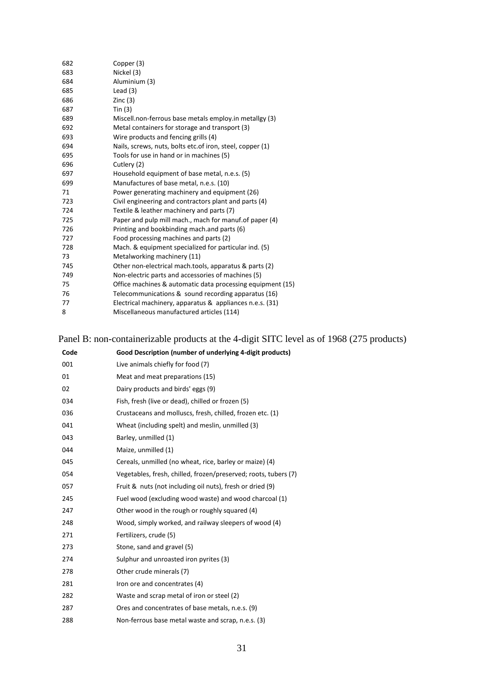| 682 | Copper (3)                                                 |
|-----|------------------------------------------------------------|
| 683 | Nickel (3)                                                 |
| 684 | Aluminium (3)                                              |
| 685 | Lead $(3)$                                                 |
| 686 | Zinc(3)                                                    |
| 687 | Tin $(3)$                                                  |
| 689 | Miscell.non-ferrous base metals employ.in metallgy (3)     |
| 692 | Metal containers for storage and transport (3)             |
| 693 | Wire products and fencing grills (4)                       |
| 694 | Nails, screws, nuts, bolts etc. of iron, steel, copper (1) |
| 695 | Tools for use in hand or in machines (5)                   |
| 696 | Cutlery (2)                                                |
| 697 | Household equipment of base metal, n.e.s. (5)              |
| 699 | Manufactures of base metal, n.e.s. (10)                    |
| 71  | Power generating machinery and equipment (26)              |
| 723 | Civil engineering and contractors plant and parts (4)      |
| 724 | Textile & leather machinery and parts (7)                  |
| 725 | Paper and pulp mill mach., mach for manuf. of paper (4)    |
| 726 | Printing and bookbinding mach.and parts (6)                |
| 727 | Food processing machines and parts (2)                     |
| 728 | Mach. & equipment specialized for particular ind. (5)      |
| 73  | Metalworking machinery (11)                                |
| 745 | Other non-electrical mach.tools, apparatus & parts (2)     |
| 749 | Non-electric parts and accessories of machines (5)         |
| 75  | Office machines & automatic data processing equipment (15) |
| 76  | Telecommunications & sound recording apparatus (16)        |
| 77  | Electrical machinery, apparatus & appliances n.e.s. (31)   |
| 8   | Miscellaneous manufactured articles (114)                  |
|     |                                                            |

# Panel B: non-containerizable products at the 4-digit SITC level as of 1968 (275 products)

| Code | Good Description (number of underlying 4-digit products)        |
|------|-----------------------------------------------------------------|
| 001  | Live animals chiefly for food (7)                               |
| 01   | Meat and meat preparations (15)                                 |
| 02   | Dairy products and birds' eggs (9)                              |
| 034  | Fish, fresh (live or dead), chilled or frozen (5)               |
| 036  | Crustaceans and molluscs, fresh, chilled, frozen etc. (1)       |
| 041  | Wheat (including spelt) and meslin, unmilled (3)                |
| 043  | Barley, unmilled (1)                                            |
| 044  | Maize, unmilled (1)                                             |
| 045  | Cereals, unmilled (no wheat, rice, barley or maize) (4)         |
| 054  | Vegetables, fresh, chilled, frozen/preserved; roots, tubers (7) |
| 057  | Fruit & nuts (not including oil nuts), fresh or dried (9)       |
| 245  | Fuel wood (excluding wood waste) and wood charcoal (1)          |
| 247  | Other wood in the rough or roughly squared (4)                  |
| 248  | Wood, simply worked, and railway sleepers of wood (4)           |
| 271  | Fertilizers, crude (5)                                          |
| 273  | Stone, sand and gravel (5)                                      |
| 274  | Sulphur and unroasted iron pyrites (3)                          |
| 278  | Other crude minerals (7)                                        |
| 281  | Iron ore and concentrates (4)                                   |
| 282  | Waste and scrap metal of iron or steel (2)                      |
| 287  | Ores and concentrates of base metals, n.e.s. (9)                |
| 288  | Non-ferrous base metal waste and scrap, n.e.s. (3)              |